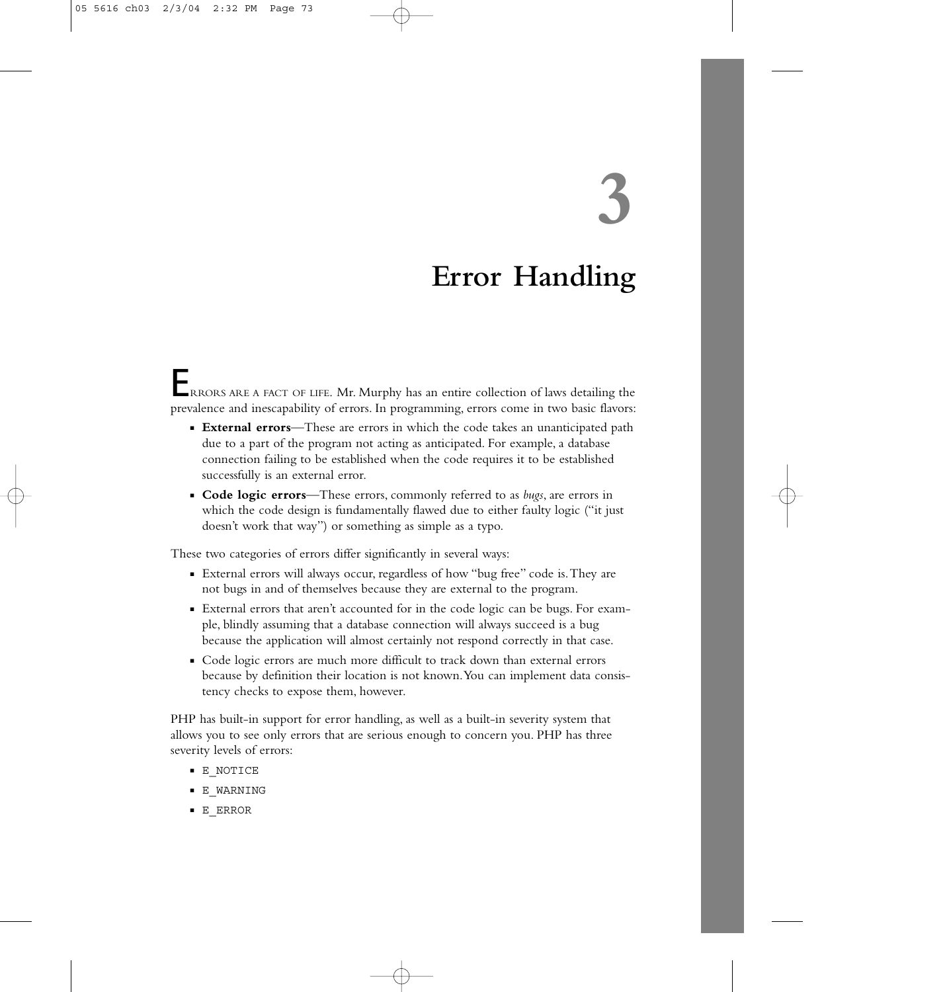# **3**

## **Error Handling**

**E**RRORS ARE A FACT OF LIFE. Mr. Murphy has an entire collection of laws detailing the prevalence and inescapability of errors. In programming, errors come in two basic flavors:

- **External errors**—These are errors in which the code takes an unanticipated path due to a part of the program not acting as anticipated. For example, a database connection failing to be established when the code requires it to be established successfully is an external error.
- n **Code logic errors**—These errors, commonly referred to as *bugs*, are errors in which the code design is fundamentally flawed due to either faulty logic ("it just doesn't work that way") or something as simple as a typo.

These two categories of errors differ significantly in several ways:

- n External errors will always occur, regardless of how "bug free" code is.They are not bugs in and of themselves because they are external to the program.
- n External errors that aren't accounted for in the code logic can be bugs. For example, blindly assuming that a database connection will always succeed is a bug because the application will almost certainly not respond correctly in that case.
- n Code logic errors are much more difficult to track down than external errors because by definition their location is not known.You can implement data consistency checks to expose them, however.

PHP has built-in support for error handling, as well as a built-in severity system that allows you to see only errors that are serious enough to concern you. PHP has three severity levels of errors:

- **E\_E\_NOTICE**
- **E** WARNING
- n E\_ERROR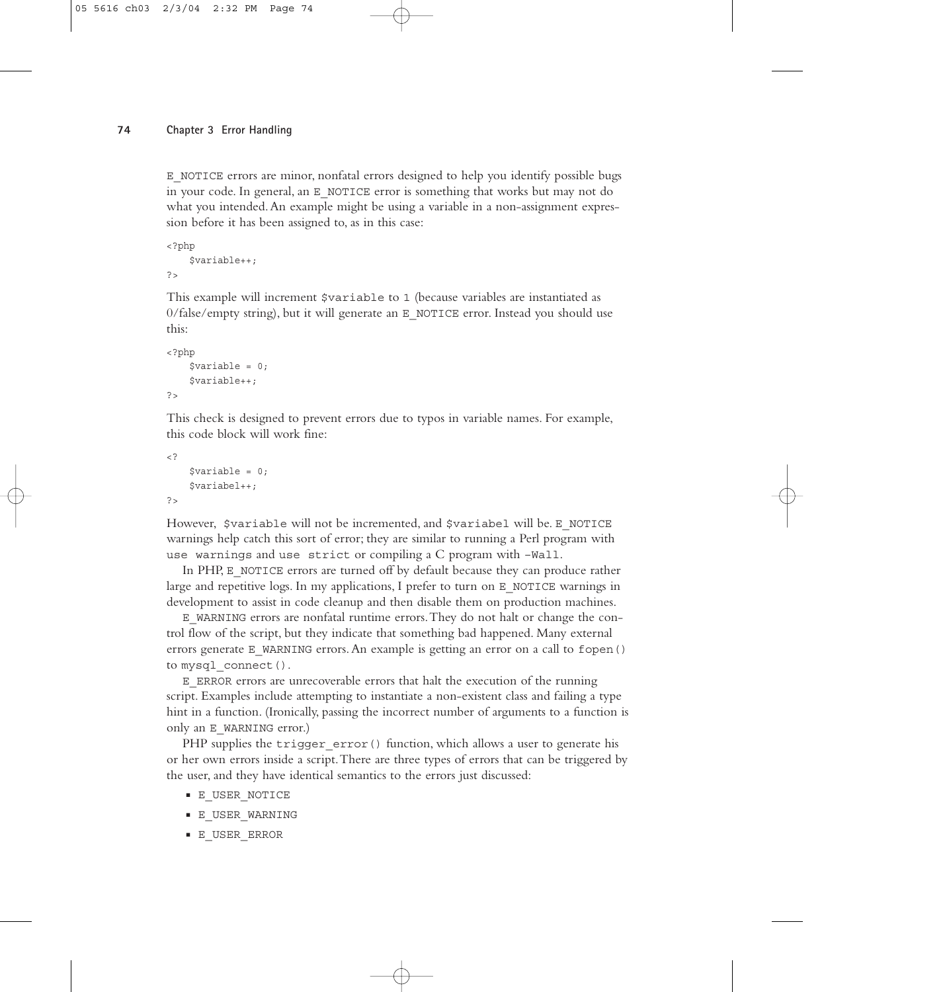E\_NOTICE errors are minor, nonfatal errors designed to help you identify possible bugs in your code. In general, an E\_NOTICE error is something that works but may not do what you intended.An example might be using a variable in a non-assignment expression before it has been assigned to, as in this case:

```
<?php
    $variable++;
?>
```
This example will increment \$variable to 1 (because variables are instantiated as 0/false/empty string), but it will generate an E\_NOTICE error. Instead you should use this:

```
<?php
    \$variable = 0;$variable++;
?>
```
This check is designed to prevent errors due to typos in variable names. For example, this code block will work fine:

```
<?
    \text{Swariable} = 0:
    $variabel++;
2-
```
However, \$variable will not be incremented, and \$variabel will be. E\_NOTICE warnings help catch this sort of error; they are similar to running a Perl program with use warnings and use strict or compiling a C program with –Wall.

In PHP, E\_NOTICE errors are turned off by default because they can produce rather large and repetitive logs. In my applications, I prefer to turn on  $E$  NOTICE warnings in development to assist in code cleanup and then disable them on production machines.

E\_WARNING errors are nonfatal runtime errors.They do not halt or change the control flow of the script, but they indicate that something bad happened. Many external errors generate  $E$  WARNING errors. An example is getting an error on a call to fopen() to mysql\_connect().

E\_ERROR errors are unrecoverable errors that halt the execution of the running script. Examples include attempting to instantiate a non-existent class and failing a type hint in a function. (Ironically, passing the incorrect number of arguments to a function is only an E\_WARNING error.)

PHP supplies the trigger error() function, which allows a user to generate his or her own errors inside a script.There are three types of errors that can be triggered by the user, and they have identical semantics to the errors just discussed:

- E USER NOTICE
- **E\_USER\_WARNING**
- **E\_USER\_ERROR**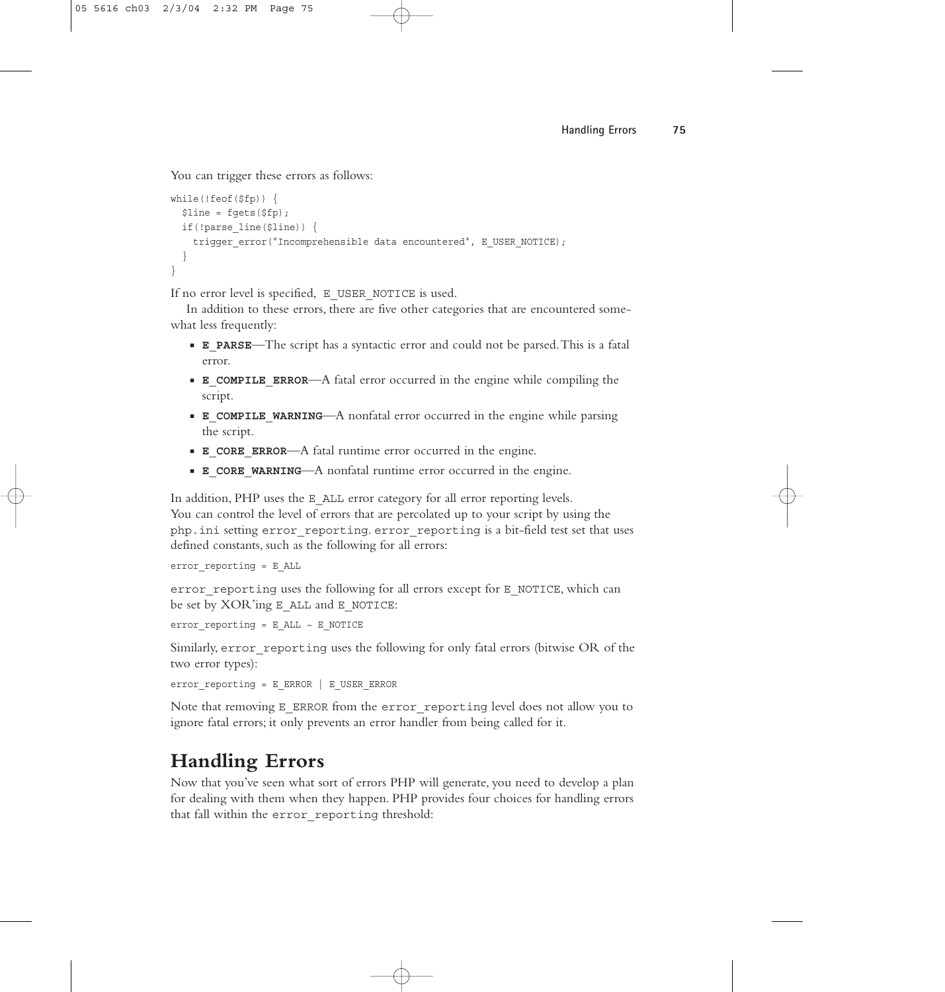You can trigger these errors as follows:

```
while(!feof($fp)) {
  $line = fgets($fp);
 if(!parse_line($line)) {
    trigger_error("Incomprehensible data encountered", E_USER_NOTICE);
  }
}
```
If no error level is specified, E\_USER\_NOTICE is used.

In addition to these errors, there are five other categories that are encountered somewhat less frequently:

- n **E\_PARSE**—The script has a syntactic error and could not be parsed.This is a fatal error.
- n **E\_COMPILE\_ERROR**—A fatal error occurred in the engine while compiling the script.
- n **E\_COMPILE\_WARNING**—A nonfatal error occurred in the engine while parsing the script.
- n **E\_CORE\_ERROR**—A fatal runtime error occurred in the engine.
- n **E\_CORE\_WARNING**—A nonfatal runtime error occurred in the engine.

In addition, PHP uses the E\_ALL error category for all error reporting levels. You can control the level of errors that are percolated up to your script by using the php.ini setting error\_reporting. error\_reporting is a bit-field test set that uses defined constants, such as the following for all errors:

error reporting = E ALL

error reporting uses the following for all errors except for E\_NOTICE, which can be set by XOR'ing E\_ALL and E\_NOTICE:

error reporting = E\_ALL  $~\sim$  E\_NOTICE

Similarly, error reporting uses the following for only fatal errors (bitwise OR of the two error types):

```
error reporting = E_ERROR | E_USER_ERROR
```
Note that removing E\_ERROR from the error reporting level does not allow you to ignore fatal errors; it only prevents an error handler from being called for it.

## **Handling Errors**

Now that you've seen what sort of errors PHP will generate, you need to develop a plan for dealing with them when they happen. PHP provides four choices for handling errors that fall within the error\_reporting threshold: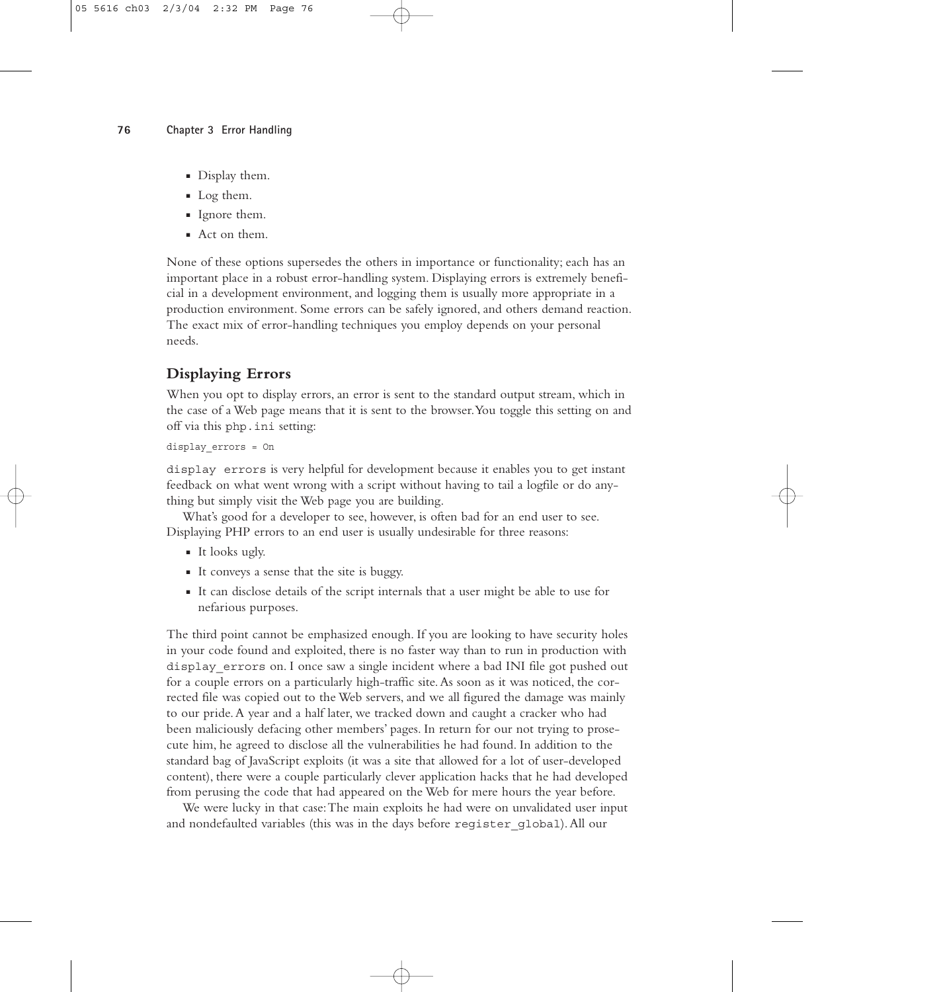- Display them.
- **Log** them.
- **Ignore** them.
- Act on them.

None of these options supersedes the others in importance or functionality; each has an important place in a robust error-handling system. Displaying errors is extremely beneficial in a development environment, and logging them is usually more appropriate in a production environment. Some errors can be safely ignored, and others demand reaction. The exact mix of error-handling techniques you employ depends on your personal needs.

### **Displaying Errors**

When you opt to display errors, an error is sent to the standard output stream, which in the case of a Web page means that it is sent to the browser.You toggle this setting on and off via this php.ini setting:

display\_errors = On

display errors is very helpful for development because it enables you to get instant feedback on what went wrong with a script without having to tail a logfile or do anything but simply visit the Web page you are building.

What's good for a developer to see, however, is often bad for an end user to see. Displaying PHP errors to an end user is usually undesirable for three reasons:

- n It looks ugly.
- n It conveys a sense that the site is buggy.
- n It can disclose details of the script internals that a user might be able to use for nefarious purposes.

The third point cannot be emphasized enough. If you are looking to have security holes in your code found and exploited, there is no faster way than to run in production with display\_errors on. I once saw a single incident where a bad INI file got pushed out for a couple errors on a particularly high-traffic site.As soon as it was noticed, the corrected file was copied out to the Web servers, and we all figured the damage was mainly to our pride.A year and a half later, we tracked down and caught a cracker who had been maliciously defacing other members' pages. In return for our not trying to prosecute him, he agreed to disclose all the vulnerabilities he had found. In addition to the standard bag of JavaScript exploits (it was a site that allowed for a lot of user-developed content), there were a couple particularly clever application hacks that he had developed from perusing the code that had appeared on the Web for mere hours the year before.

We were lucky in that case:The main exploits he had were on unvalidated user input and nondefaulted variables (this was in the days before register\_global).All our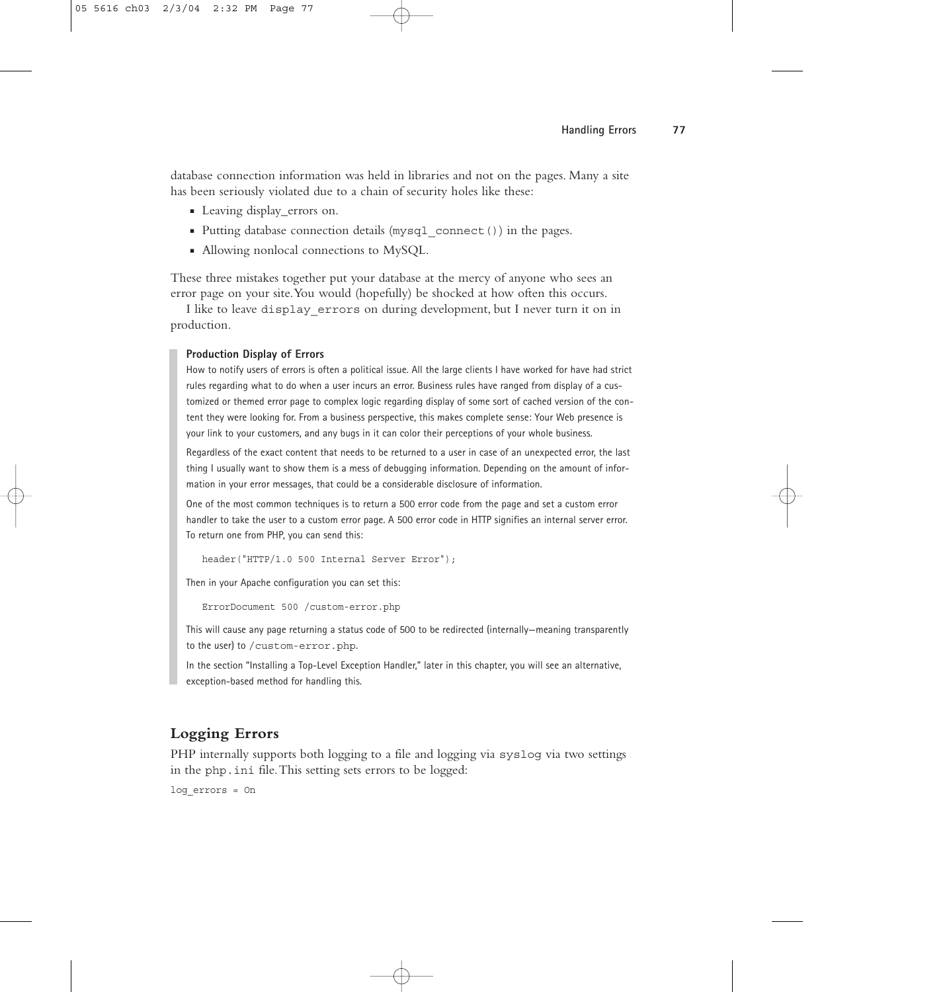database connection information was held in libraries and not on the pages. Many a site has been seriously violated due to a chain of security holes like these:

- n Leaving display\_errors on.
- n Putting database connection details (mysql\_connect()) in the pages.
- **Allowing nonlocal connections to MySQL.**

These three mistakes together put your database at the mercy of anyone who sees an error page on your site.You would (hopefully) be shocked at how often this occurs.

I like to leave display\_errors on during development, but I never turn it on in production.

#### **Production Display of Errors**

How to notify users of errors is often a political issue. All the large clients I have worked for have had strict rules regarding what to do when a user incurs an error. Business rules have ranged from display of a customized or themed error page to complex logic regarding display of some sort of cached version of the content they were looking for. From a business perspective, this makes complete sense: Your Web presence is your link to your customers, and any bugs in it can color their perceptions of your whole business.

Regardless of the exact content that needs to be returned to a user in case of an unexpected error, the last thing I usually want to show them is a mess of debugging information. Depending on the amount of information in your error messages, that could be a considerable disclosure of information.

One of the most common techniques is to return a 500 error code from the page and set a custom error handler to take the user to a custom error page. A 500 error code in HTTP signifies an internal server error. To return one from PHP, you can send this:

```
header("HTTP/1.0 500 Internal Server Error");
```
Then in your Apache configuration you can set this:

```
ErrorDocument 500 /custom-error.php
```
This will cause any page returning a status code of 500 to be redirected (internally—meaning transparently to the user) to /custom-error.php.

In the section "Installing a Top-Level Exception Handler," later in this chapter, you will see an alternative, exception-based method for handling this.

#### **Logging Errors**

PHP internally supports both logging to a file and logging via syslog via two settings in the php.ini file.This setting sets errors to be logged:

```
log_errors = On
```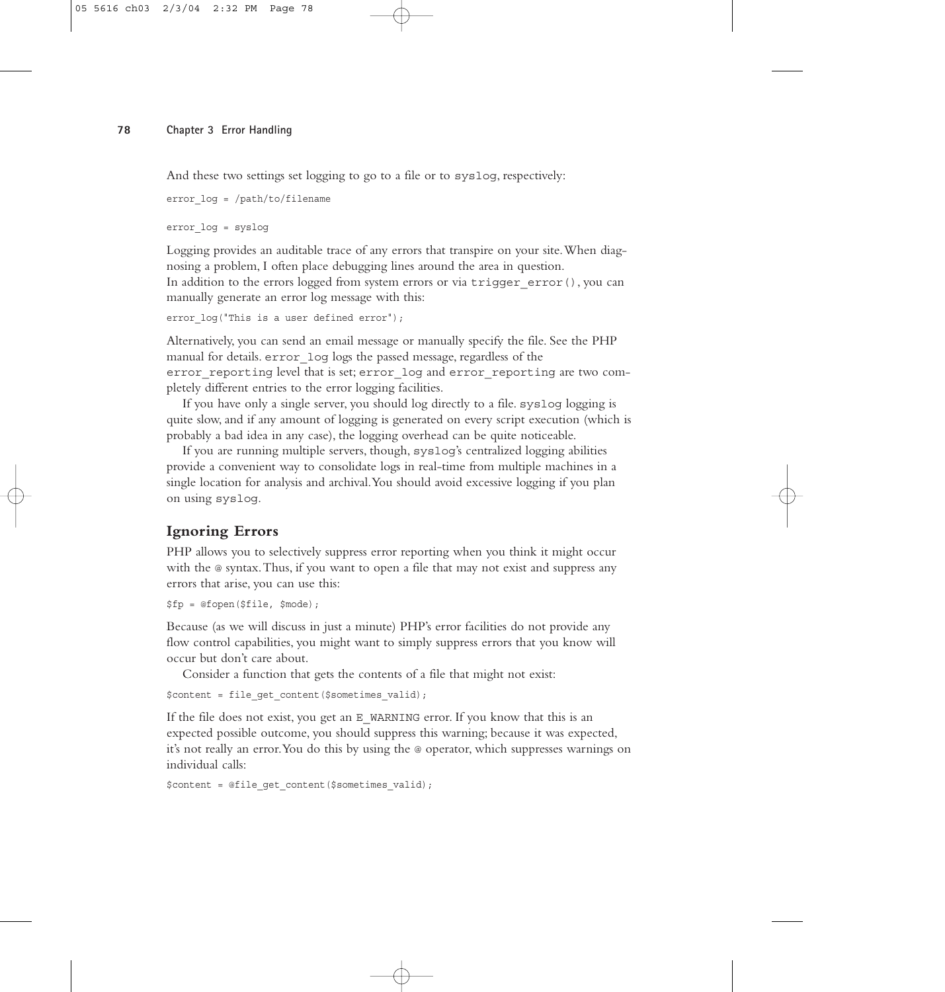And these two settings set logging to go to a file or to syslog, respectively:

```
error log = /path/to/filename
```

```
error_log = syslog
```
Logging provides an auditable trace of any errors that transpire on your site.When diagnosing a problem, I often place debugging lines around the area in question.

In addition to the errors logged from system errors or via trigger  $error()$ , you can manually generate an error log message with this:

```
error_log("This is a user defined error");
```
Alternatively, you can send an email message or manually specify the file. See the PHP manual for details. error\_log logs the passed message, regardless of the error reporting level that is set; error log and error reporting are two completely different entries to the error logging facilities.

If you have only a single server, you should log directly to a file. syslog logging is quite slow, and if any amount of logging is generated on every script execution (which is probably a bad idea in any case), the logging overhead can be quite noticeable.

If you are running multiple servers, though, syslog's centralized logging abilities provide a convenient way to consolidate logs in real-time from multiple machines in a single location for analysis and archival.You should avoid excessive logging if you plan on using syslog.

#### **Ignoring Errors**

PHP allows you to selectively suppress error reporting when you think it might occur with the @ syntax. Thus, if you want to open a file that may not exist and suppress any errors that arise, you can use this:

\$fp = @fopen(\$file, \$mode);

Because (as we will discuss in just a minute) PHP's error facilities do not provide any flow control capabilities, you might want to simply suppress errors that you know will occur but don't care about.

Consider a function that gets the contents of a file that might not exist:

```
$content = file get content ($sometimes valid);
```
If the file does not exist, you get an E\_WARNING error. If you know that this is an expected possible outcome, you should suppress this warning; because it was expected, it's not really an error.You do this by using the @ operator, which suppresses warnings on individual calls:

```
$content = @file get content ($sometimes valid);
```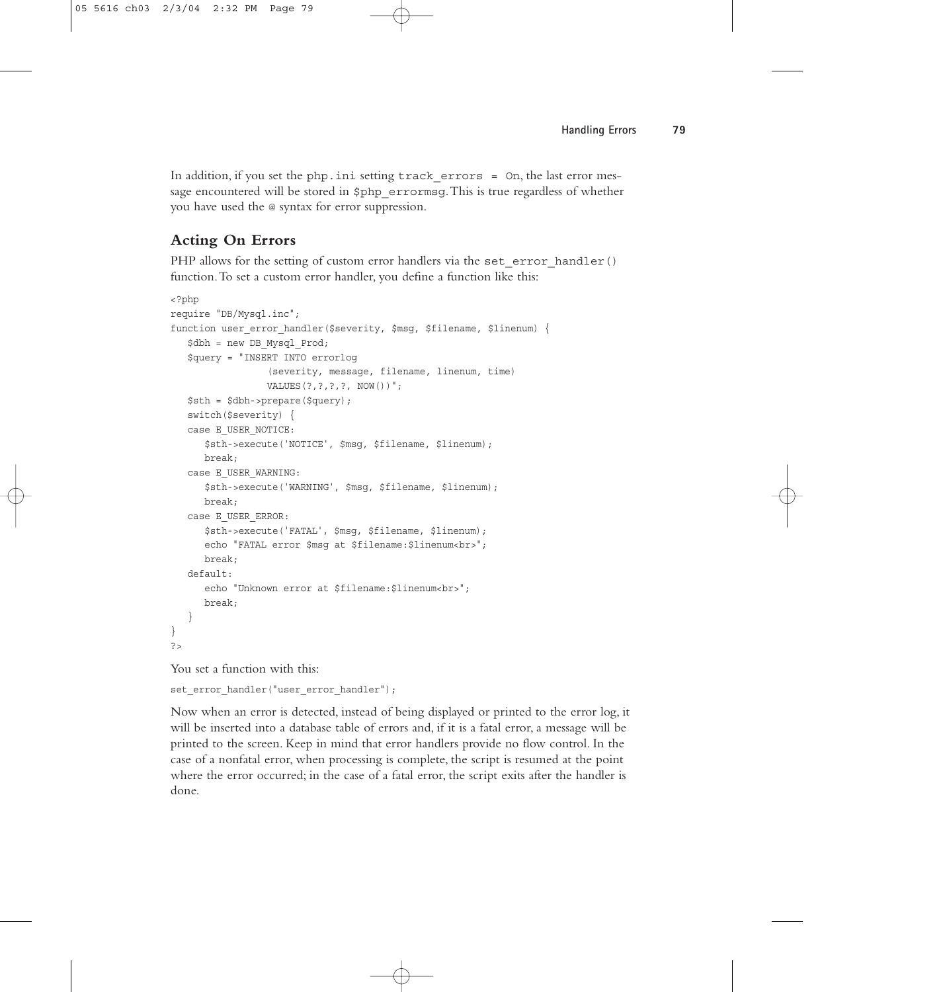In addition, if you set the php. ini setting track errors =  $On$ , the last error message encountered will be stored in \$php\_errormsg.This is true regardless of whether you have used the @ syntax for error suppression.

## **Acting On Errors**

PHP allows for the setting of custom error handlers via the set error handler() function.To set a custom error handler, you define a function like this:

```
<?php
require "DB/Mysql.inc";
function user error handler($severity, $msq, $filename, $linenum) {
   $dbh = new DB_Mysql_Prod;
   $query = "INSERT INTO errorlog
                 (severity, message, filename, linenum, time) 
                 VALUES(?,?,?,?, NOW())";
   $sth = $dbh->prepare($query);
   switch($severity) {
   case E_USER_NOTICE:
     $sth->execute('NOTICE', $msg, $filename, $linenum); 
     break;
   case E_USER_WARNING:
     $sth->execute('WARNING', $msg, $filename, $linenum); 
     break;
   case E_USER_ERROR:
      $sth->execute('FATAL', $msg, $filename, $linenum); 
      echo "FATAL error $msg at $filename:$linenum<br>";
      break;
   default:
      echo "Unknown error at $filename:$linenum<br>";
     break;
   }
}
?>
```
You set a function with this:

set error handler("user error handler");

Now when an error is detected, instead of being displayed or printed to the error log, it will be inserted into a database table of errors and, if it is a fatal error, a message will be printed to the screen. Keep in mind that error handlers provide no flow control. In the case of a nonfatal error, when processing is complete, the script is resumed at the point where the error occurred; in the case of a fatal error, the script exits after the handler is done.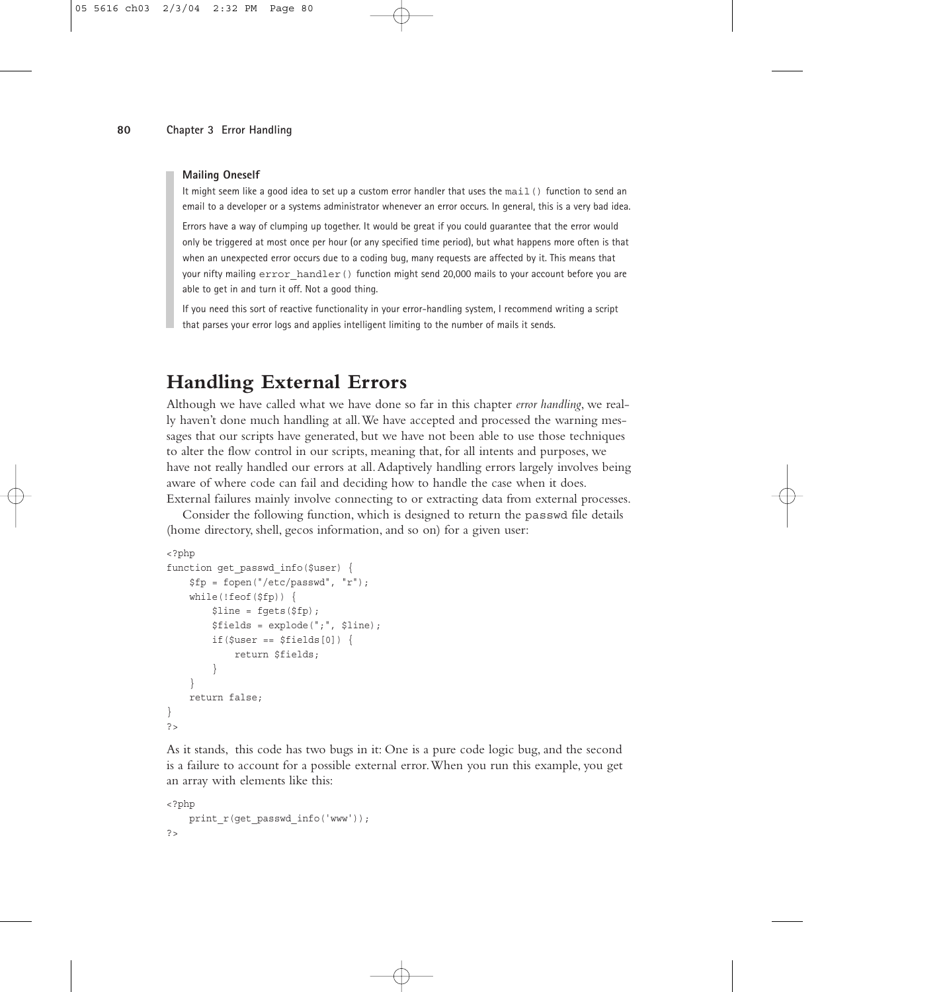#### **Mailing Oneself**

It might seem like a good idea to set up a custom error handler that uses the mail() function to send an email to a developer or a systems administrator whenever an error occurs. In general, this is a very bad idea.

Errors have a way of clumping up together. It would be great if you could guarantee that the error would only be triggered at most once per hour (or any specified time period), but what happens more often is that when an unexpected error occurs due to a coding bug, many requests are affected by it. This means that your nifty mailing error handler () function might send 20,000 mails to your account before you are able to get in and turn it off. Not a good thing.

If you need this sort of reactive functionality in your error-handling system, I recommend writing a script that parses your error logs and applies intelligent limiting to the number of mails it sends.

## **Handling External Errors**

Although we have called what we have done so far in this chapter *error handling*, we really haven't done much handling at all.We have accepted and processed the warning messages that our scripts have generated, but we have not been able to use those techniques to alter the flow control in our scripts, meaning that, for all intents and purposes, we have not really handled our errors at all.Adaptively handling errors largely involves being aware of where code can fail and deciding how to handle the case when it does. External failures mainly involve connecting to or extracting data from external processes.

Consider the following function, which is designed to return the passwd file details (home directory, shell, gecos information, and so on) for a given user:

```
<?php
function get passwd info($user) {
    $fp = fopen("/etc/passwd", "r");
   while(!feof($fp)) {
        $line = fgets($fp);
        $fields = explode(";", $line);
        if($user == $fields[0]) {
            return $fields;
        }
    }
    return false;
}
?>
```
As it stands, this code has two bugs in it: One is a pure code logic bug, and the second is a failure to account for a possible external error.When you run this example, you get an array with elements like this:

<?php print\_r(get\_passwd\_info(*'*www*'*)); ?>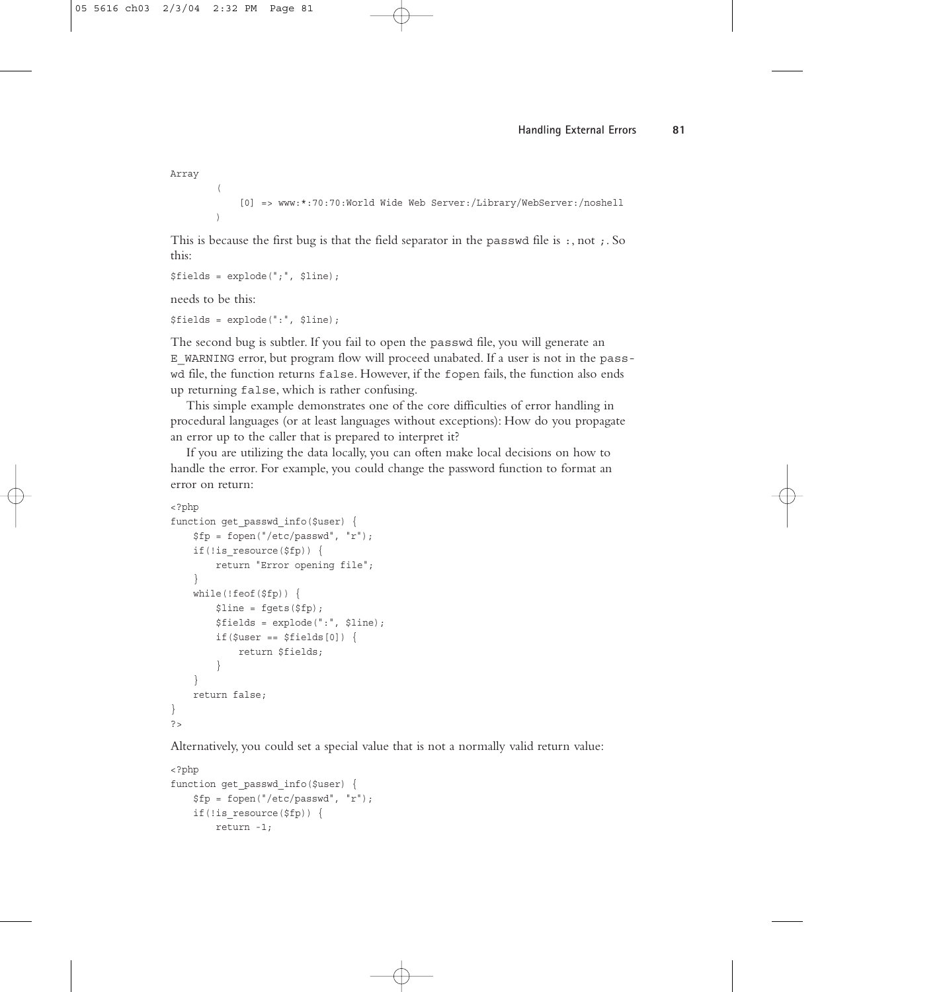```
Array
```
( [0] => www:\*:70:70:World Wide Web Server:/Library/WebServer:/noshell

This is because the first bug is that the field separator in the passwd file is :, not ;. So this:

```
$fields = explode(";", $line);
```
needs to be this:

)

\$fields = explode(*"*:*"*, \$line);

The second bug is subtler. If you fail to open the passwd file, you will generate an E\_WARNING error, but program flow will proceed unabated. If a user is not in the passwd file, the function returns false. However, if the fopen fails, the function also ends up returning false, which is rather confusing.

This simple example demonstrates one of the core difficulties of error handling in procedural languages (or at least languages without exceptions): How do you propagate an error up to the caller that is prepared to interpret it?

If you are utilizing the data locally, you can often make local decisions on how to handle the error. For example, you could change the password function to format an error on return:

```
<?php
function get passwd info($user) {
    $fp = fopen("/etc/passwd", "r");
    if(!is resource($fp)) {
        return "Error opening file";
    }
    while(!feof($fp)) {
        $line = fgets($fp);
        $fields = explode(":", $line);
        if($user == $fields[0]) {
            return $fields;
        }
    }
    return false;
}
?>
```
Alternatively, you could set a special value that is not a normally valid return value:

```
<?php
function get passwd info($user) {
    $fp = fopen("/etc/passwd", "r");
    if(!is resource($fp)) {
        return -1;
```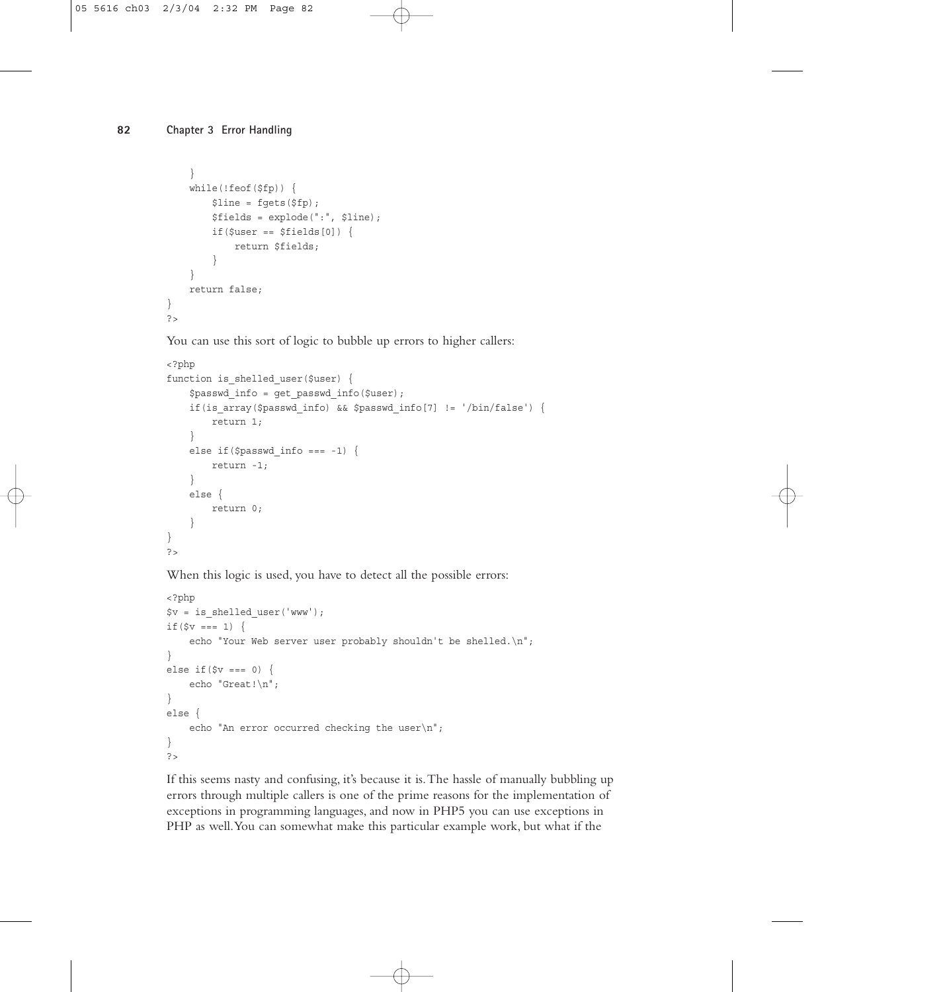} ?>

```
}
while(!feof($fp)) {
    $line = fgets($fp);
    $fields = explode(":", $line);
    if($user == $fields[0]) {
        return $fields;
    }
}
return false;
```
You can use this sort of logic to bubble up errors to higher callers:

```
<?php
function is shelled user($user) {
    $passwd_info = get_passwd_info($user);
    if(is_array($passwd_info) && $passwd_info[7] != '/bin/false') {
        return 1;
    } 
    else if($passwd info === -1) {
        return -1;
    } 
    else {
        return 0;
    } 
}
?>
```
When this logic is used, you have to detect all the possible errors:

```
<?php
$v = is_shelled_user('www');
if($v == 1) {
    echo "Your Web server user probably shouldn't be shelled.\n";
}
else if($v == 0) {
    echo "Great!\n";
}
else {
    echo "An error occurred checking the user\n";
}
?>
```
If this seems nasty and confusing, it's because it is.The hassle of manually bubbling up errors through multiple callers is one of the prime reasons for the implementation of exceptions in programming languages, and now in PHP5 you can use exceptions in PHP as well.You can somewhat make this particular example work, but what if the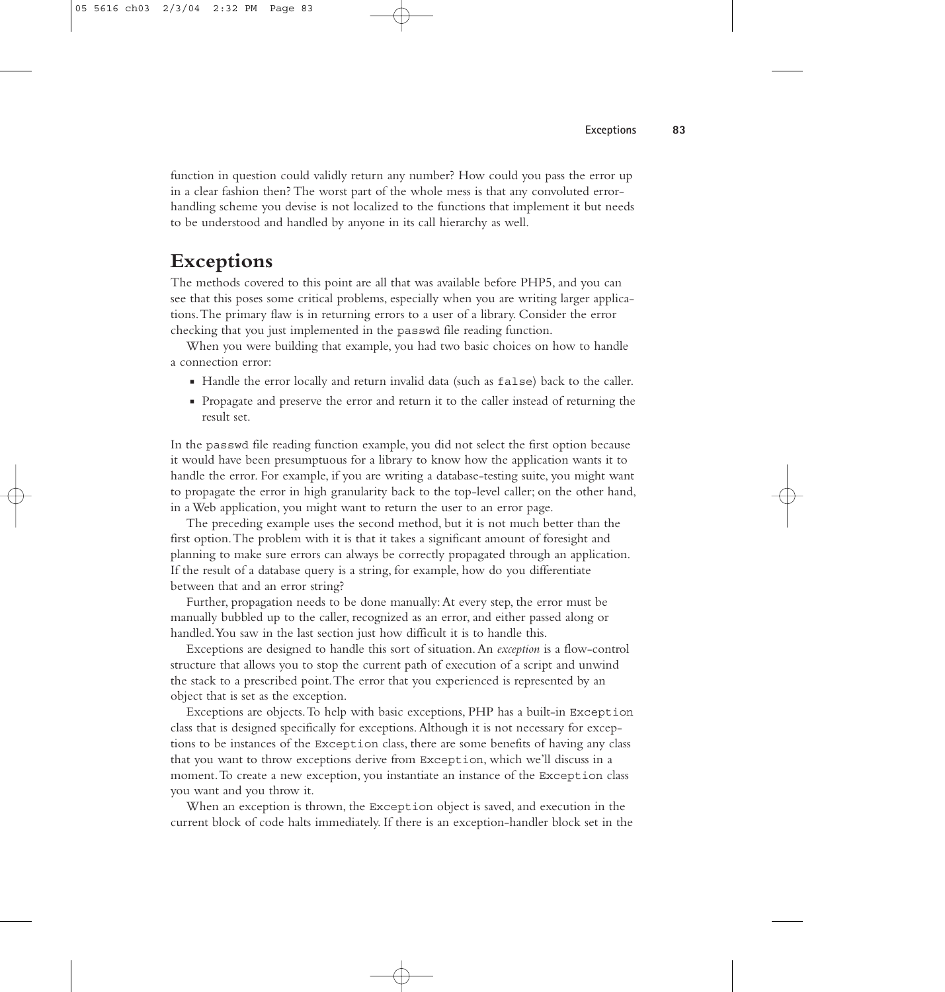function in question could validly return any number? How could you pass the error up in a clear fashion then? The worst part of the whole mess is that any convoluted errorhandling scheme you devise is not localized to the functions that implement it but needs to be understood and handled by anyone in its call hierarchy as well.

## **Exceptions**

The methods covered to this point are all that was available before PHP5, and you can see that this poses some critical problems, especially when you are writing larger applications.The primary flaw is in returning errors to a user of a library. Consider the error checking that you just implemented in the passwd file reading function.

When you were building that example, you had two basic choices on how to handle a connection error:

- $\bullet\,$  Handle the error locally and return invalid data (such as <code>false</code>) back to the caller.
- n Propagate and preserve the error and return it to the caller instead of returning the result set.

In the passwd file reading function example, you did not select the first option because it would have been presumptuous for a library to know how the application wants it to handle the error. For example, if you are writing a database-testing suite, you might want to propagate the error in high granularity back to the top-level caller; on the other hand, in a Web application, you might want to return the user to an error page.

The preceding example uses the second method, but it is not much better than the first option.The problem with it is that it takes a significant amount of foresight and planning to make sure errors can always be correctly propagated through an application. If the result of a database query is a string, for example, how do you differentiate between that and an error string?

Further, propagation needs to be done manually:At every step, the error must be manually bubbled up to the caller, recognized as an error, and either passed along or handled.You saw in the last section just how difficult it is to handle this.

Exceptions are designed to handle this sort of situation.An *exception* is a flow-control structure that allows you to stop the current path of execution of a script and unwind the stack to a prescribed point.The error that you experienced is represented by an object that is set as the exception.

Exceptions are objects.To help with basic exceptions, PHP has a built-in Exception class that is designed specifically for exceptions.Although it is not necessary for exceptions to be instances of the Exception class, there are some benefits of having any class that you want to throw exceptions derive from Exception, which we'll discuss in a moment.To create a new exception, you instantiate an instance of the Exception class you want and you throw it.

When an exception is thrown, the Exception object is saved, and execution in the current block of code halts immediately. If there is an exception-handler block set in the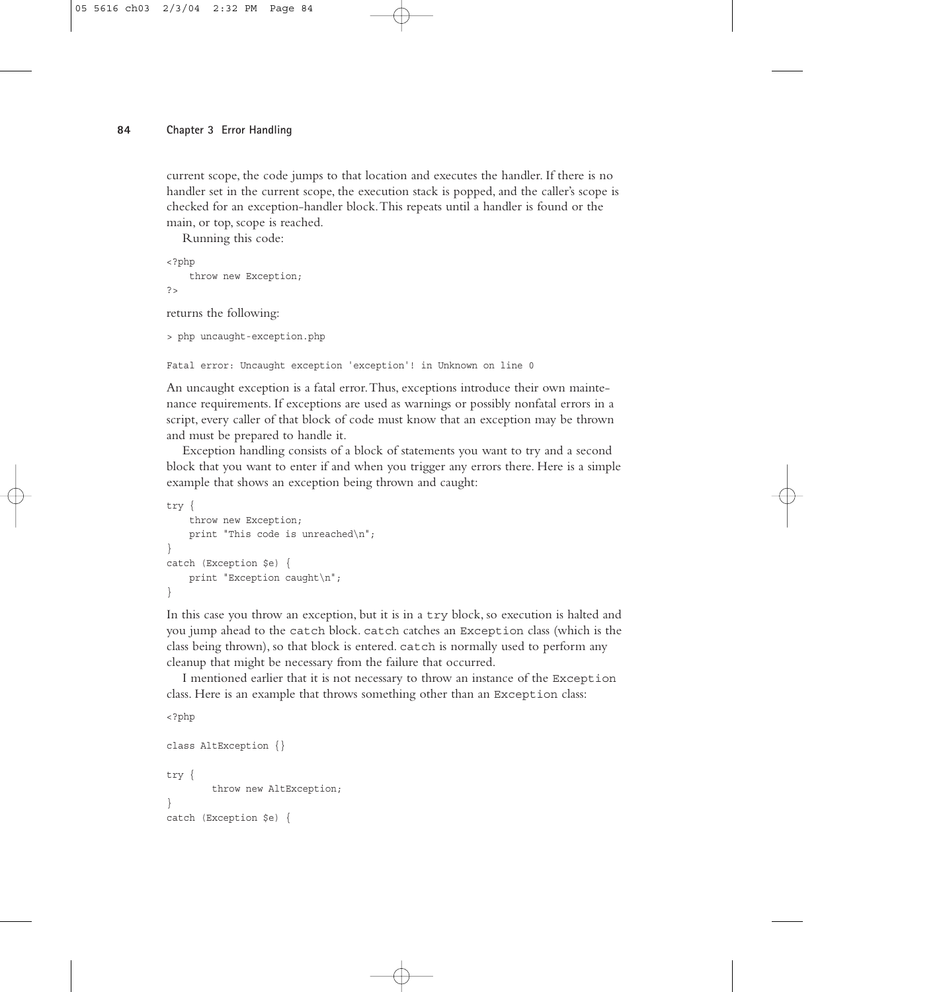current scope, the code jumps to that location and executes the handler. If there is no handler set in the current scope, the execution stack is popped, and the caller's scope is checked for an exception-handler block.This repeats until a handler is found or the main, or top, scope is reached.

Running this code:

```
<?php
    throw new Exception;
?>
```
returns the following:

```
> php uncaught-exception.php
```
Fatal error: Uncaught exception *'*exception*'*! in Unknown on line 0

An uncaught exception is a fatal error.Thus, exceptions introduce their own maintenance requirements. If exceptions are used as warnings or possibly nonfatal errors in a script, every caller of that block of code must know that an exception may be thrown and must be prepared to handle it.

Exception handling consists of a block of statements you want to try and a second block that you want to enter if and when you trigger any errors there. Here is a simple example that shows an exception being thrown and caught:

```
try {
    throw new Exception;
   print "This code is unreached\n";
}
catch (Exception $e) {
    print "Exception caught\n";
}
```
In this case you throw an exception, but it is in a try block, so execution is halted and you jump ahead to the catch block. catch catches an Exception class (which is the class being thrown), so that block is entered. catch is normally used to perform any cleanup that might be necessary from the failure that occurred.

I mentioned earlier that it is not necessary to throw an instance of the Exception class. Here is an example that throws something other than an Exception class:

```
class AltException {}
try {
        throw new AltException;
}
catch (Exception $e) {
```
<?php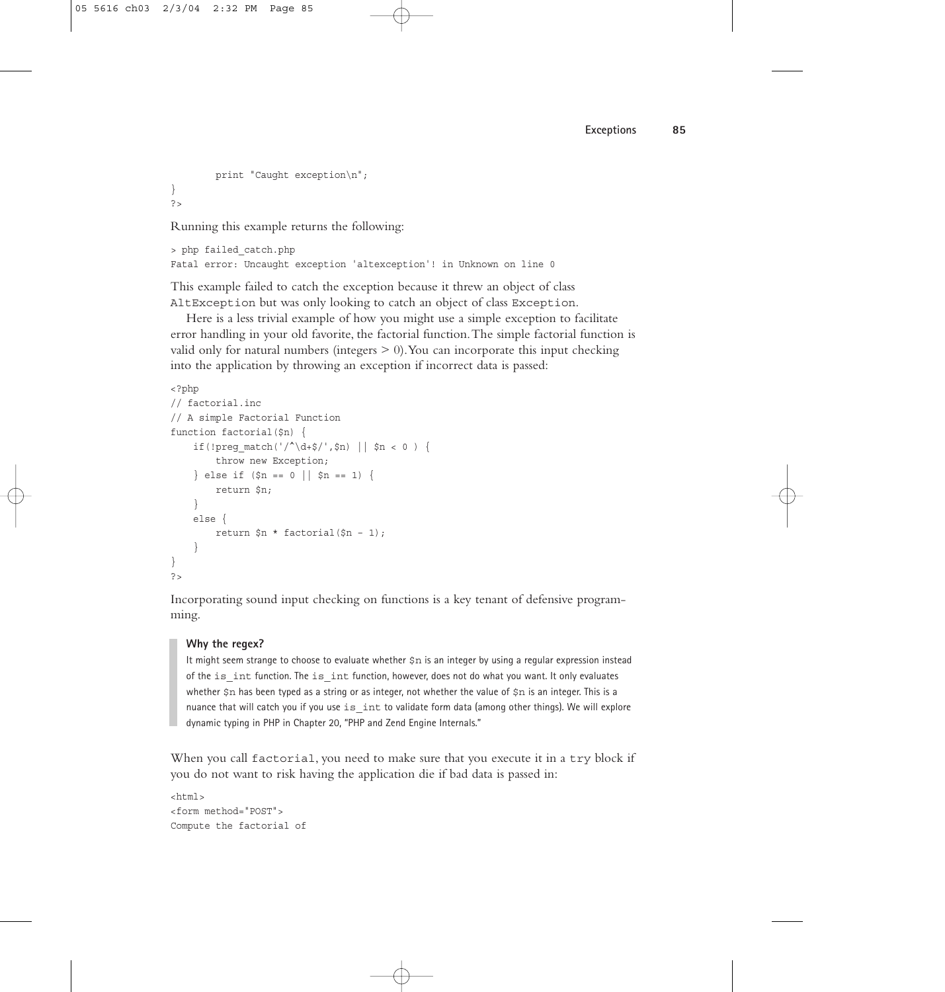```
print "Caught exception\n";
}
?>
```
Running this example returns the following:

```
> php failed_catch.php
Fatal error: Uncaught exception 'altexception'! in Unknown on line 0
```
This example failed to catch the exception because it threw an object of class AltException but was only looking to catch an object of class Exception.

Here is a less trivial example of how you might use a simple exception to facilitate error handling in your old favorite, the factorial function.The simple factorial function is valid only for natural numbers (integers > 0).You can incorporate this input checking into the application by throwing an exception if incorrect data is passed:

```
<?php
// factorial.inc
// A simple Factorial Function
function factorial($n) {
    if(!preg_match('/^\d+$/',$n) || $n < 0 ) {
        throw new Exception;
    \} else if ($n == 0 || $n == 1) {
        return $n;
    }
    else {
        return $n * factorial($n – 1);
    }
}
?>
```
Incorporating sound input checking on functions is a key tenant of defensive programming.

#### **Why the regex?**

It might seem strange to choose to evaluate whether  $\sin$  is an integer by using a regular expression instead of the is int function. The is int function, however, does not do what you want. It only evaluates whether  $\sin$  has been typed as a string or as integer, not whether the value of  $\sin$  is an integer. This is a nuance that will catch you if you use is\_int to validate form data (among other things). We will explore dynamic typing in PHP in Chapter 20, "PHP and Zend Engine Internals."

When you call factorial, you need to make sure that you execute it in a try block if you do not want to risk having the application die if bad data is passed in:

```
<h+ml><form method="POST">
Compute the factorial of
```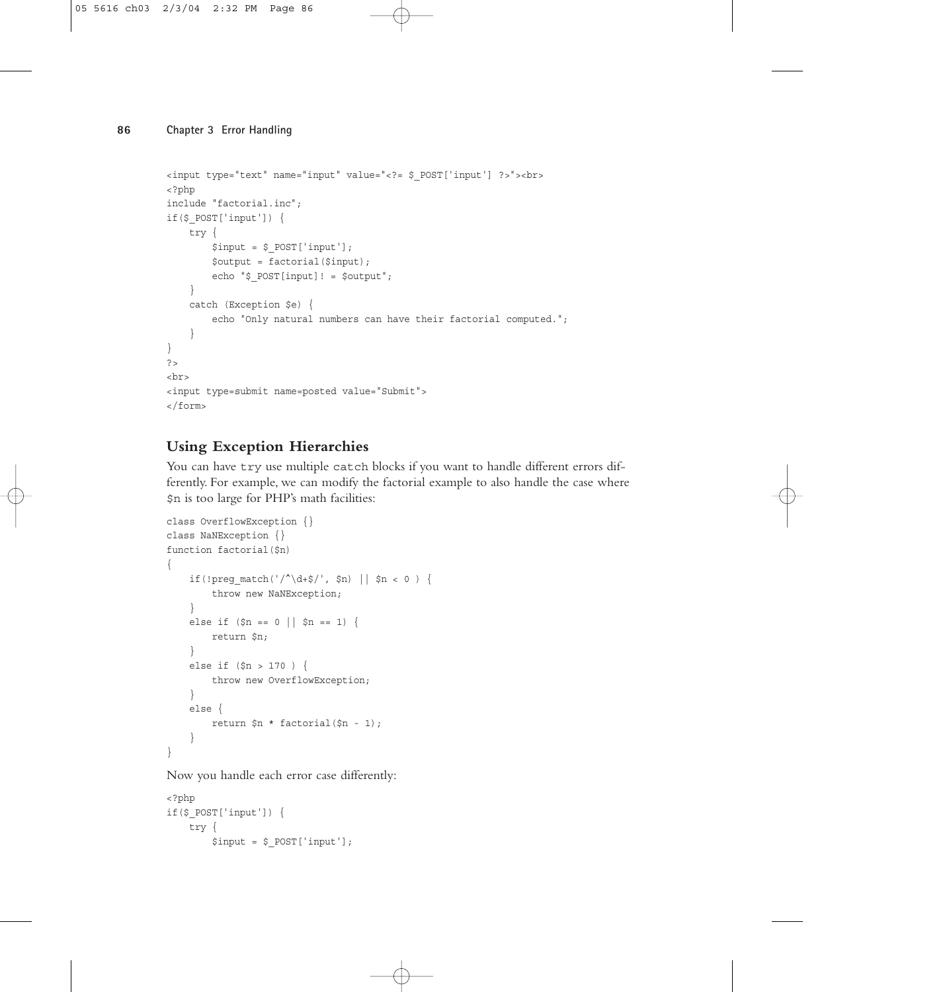```
<input type="text" name="input" value="<?= $_POST['input'] ?>"><br>
<?php
include "factorial.inc";
if($_POST['input']) {
    try {
        $input = $_POST['input'];
        $output = factorial(\n$input);echo "$_POST[input]! = $output";
    }
    catch (Exception $e) {
        echo "Only natural numbers can have their factorial computed.";
    }
}
?>
chr<sub>2</sub>
<input type=submit name=posted value="Submit">
</form>
```
## **Using Exception Hierarchies**

You can have try use multiple catch blocks if you want to handle different errors differently. For example, we can modify the factorial example to also handle the case where \$n is too large for PHP's math facilities:

```
class OverflowException {}
class NaNException {}
function factorial($n)
{
    if(!preg_match('/^\d+$/', $n) || $n < 0 ) {
        throw new NaNException;
    }
    else if (\$n == 0 || \$n == 1) {
        return $n;
    }
    else if ($n > 170 ) {
        throw new OverflowException;
    }
    else {
        return $n * factorial($n - 1);
    }
}
```
Now you handle each error case differently:

```
<?php
if($_POST['input']) {
    try {
        $input = $_POST['input'];
```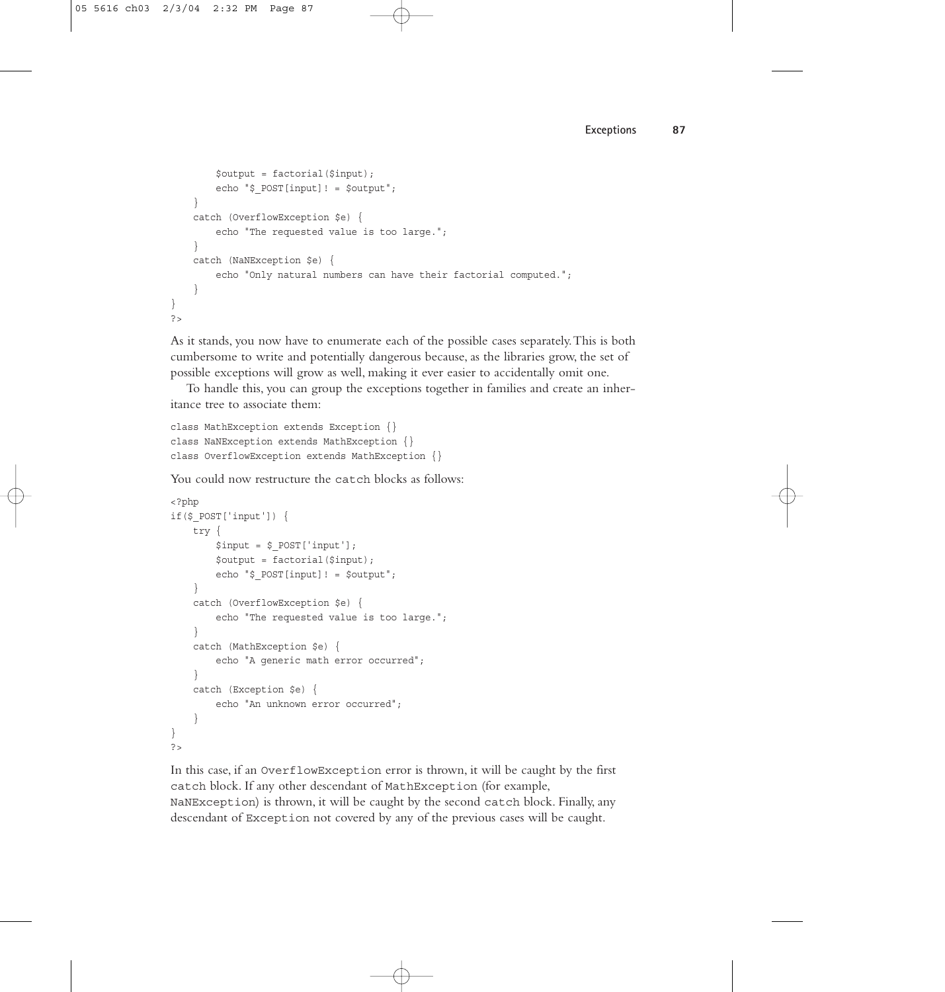```
$output = factorial($input);
        echo "$_POST[input]! = $output";
    }
    catch (OverflowException $e) {
        echo "The requested value is too large.";
    }
    catch (NaNException $e) {
        echo "Only natural numbers can have their factorial computed.";
    }
}
?>
```
As it stands, you now have to enumerate each of the possible cases separately.This is both cumbersome to write and potentially dangerous because, as the libraries grow, the set of possible exceptions will grow as well, making it ever easier to accidentally omit one.

To handle this, you can group the exceptions together in families and create an inheritance tree to associate them:

```
class MathException extends Exception {}
class NaNException extends MathException {}
class OverflowException extends MathException {}
```
You could now restructure the catch blocks as follows:

```
<?php
if($_POST['input']) {
    try {
        $input = $_POST['input'];
        $output = factorial($input);
        echo "$_POST[input]! = $output";
    }
    catch (OverflowException $e) {
        echo "The requested value is too large.";
    }
    catch (MathException $e) {
        echo "A generic math error occurred";
    }
    catch (Exception $e) {
        echo "An unknown error occurred";
    }
}
?>
```
In this case, if an OverflowException error is thrown, it will be caught by the first catch block. If any other descendant of MathException (for example, NaNException) is thrown, it will be caught by the second catch block. Finally, any descendant of Exception not covered by any of the previous cases will be caught.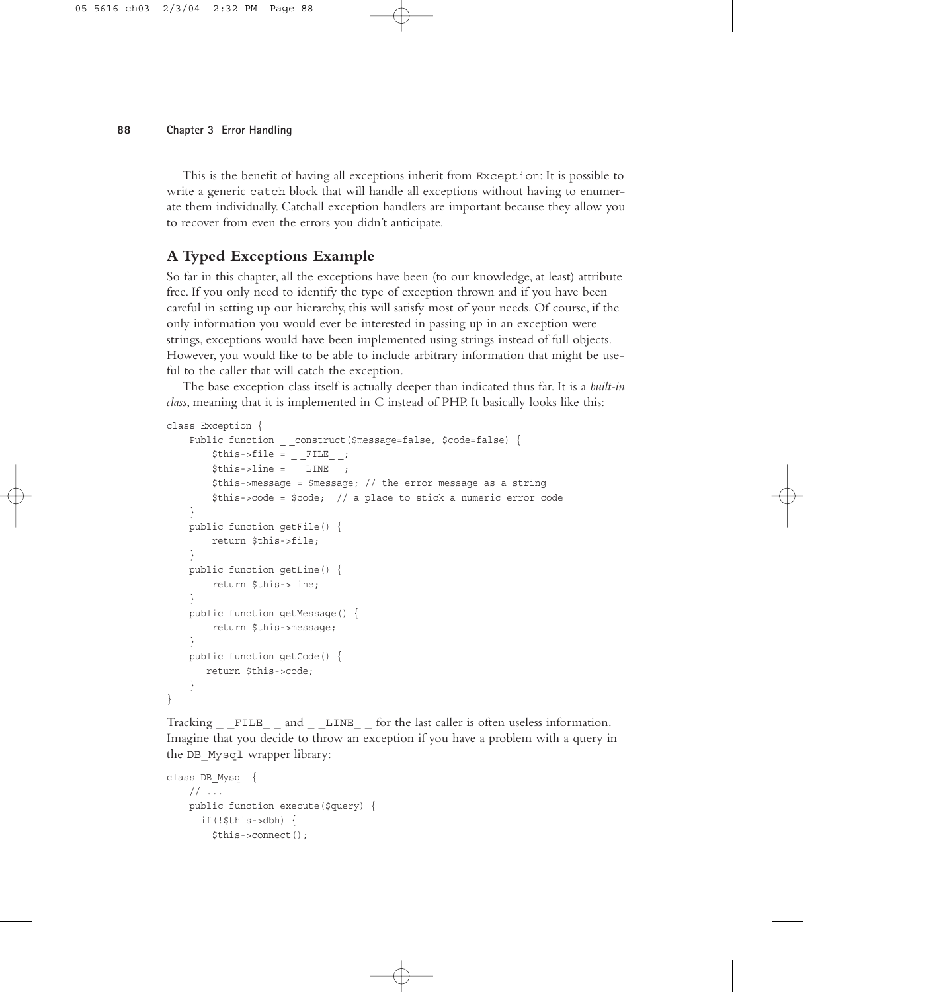This is the benefit of having all exceptions inherit from Exception: It is possible to write a generic catch block that will handle all exceptions without having to enumerate them individually. Catchall exception handlers are important because they allow you to recover from even the errors you didn't anticipate.

## **A Typed Exceptions Example**

So far in this chapter, all the exceptions have been (to our knowledge, at least) attribute free. If you only need to identify the type of exception thrown and if you have been careful in setting up our hierarchy, this will satisfy most of your needs. Of course, if the only information you would ever be interested in passing up in an exception were strings, exceptions would have been implemented using strings instead of full objects. However, you would like to be able to include arbitrary information that might be useful to the caller that will catch the exception.

The base exception class itself is actually deeper than indicated thus far. It is a *built-in class*, meaning that it is implemented in C instead of PHP. It basically looks like this:

```
class Exception {
   Public function construct($message=false, $code=false) {
       $this \rightarrow file = \_ \$this ->line = LINE ;
       $this->message = $message; // the error message as a string
       $this->code = $code; // a place to stick a numeric error code
   }
   public function getFile() {
       return $this->file;
    }
   public function getLine() {
       return $this->line;
    }
   public function getMessage() {
       return $this->message;
   }
   public function getCode() {
      return $this->code;
   }
}
```
Tracking FILE and LINE for the last caller is often useless information. Imagine that you decide to throw an exception if you have a problem with a query in the DB\_Mysql wrapper library:

```
class DB_Mysql {
    // \ldotspublic function execute($query) {
     if(!$this->dbh) {
        $this->connect();
```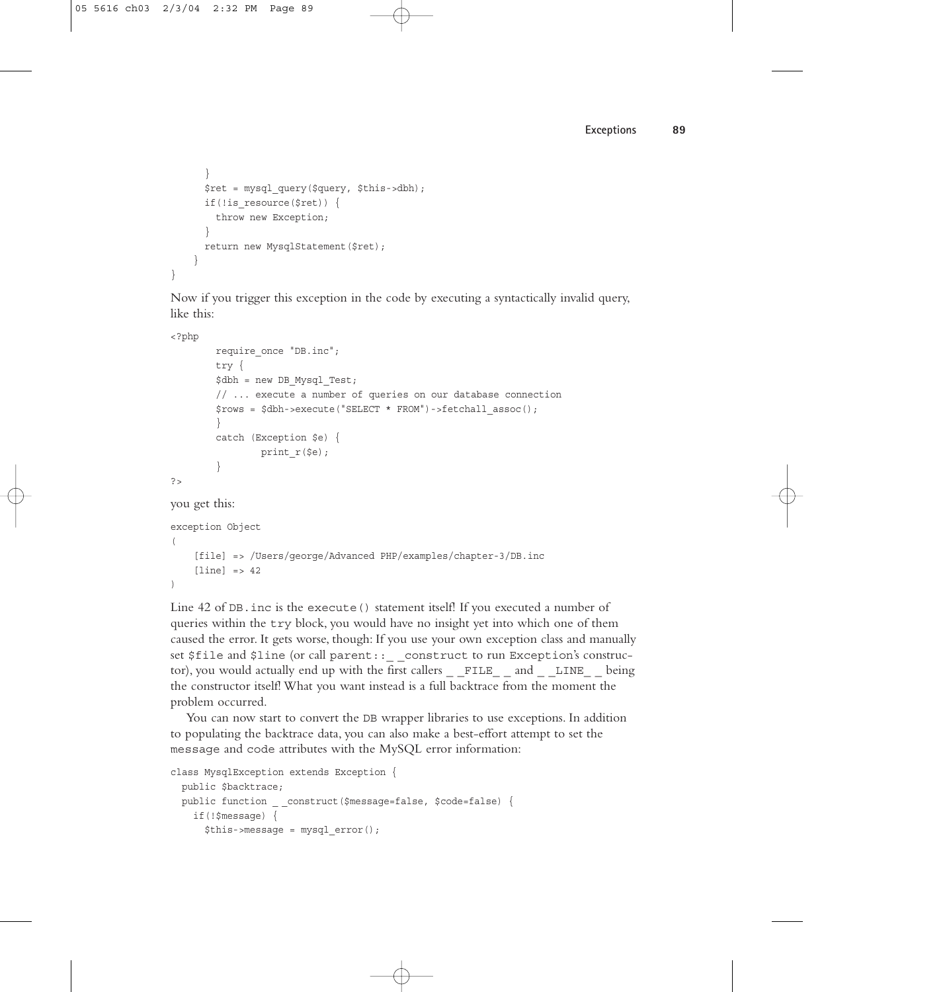```
}
     $ret = mysql_query($query, $this->dbh);
      if(!is resource($ret)) {
        throw new Exception;
      }
     return new MysqlStatement($ret);
    }
}
```
Now if you trigger this exception in the code by executing a syntactically invalid query, like this:

<?php

 $\lambda$ 

```
require_once "DB.inc";
        try {
        $dbh = new DB Mysql Test;
        // ... execute a number of queries on our database connection
        $rows = $dbh->execute("SELECT * FROM")->fetchall_assoc();
        }
        catch (Exception $e) {
                print r($e);
        }
?>
you get this:
exception Object
(
    [file] => /Users/george/Advanced PHP/examples/chapter-3/DB.inc
    [line] => 42
```
Line 42 of DB.inc is the execute() statement itself! If you executed a number of queries within the try block, you would have no insight yet into which one of them caused the error. It gets worse, though: If you use your own exception class and manually set \$file and \$line (or call parent::\_ \_ construct to run Exception's constructor), you would actually end up with the first callers \_ \_FILE\_ \_ and \_ \_LINE\_ \_ being the constructor itself! What you want instead is a full backtrace from the moment the problem occurred.

You can now start to convert the DB wrapper libraries to use exceptions. In addition to populating the backtrace data, you can also make a best-effort attempt to set the message and code attributes with the MySQL error information:

```
class MysqlException extends Exception {
  public $backtrace;
 public function _ _construct($message=false, $code=false) {
    if(!$message) {
      $this->message = mysql_error();
```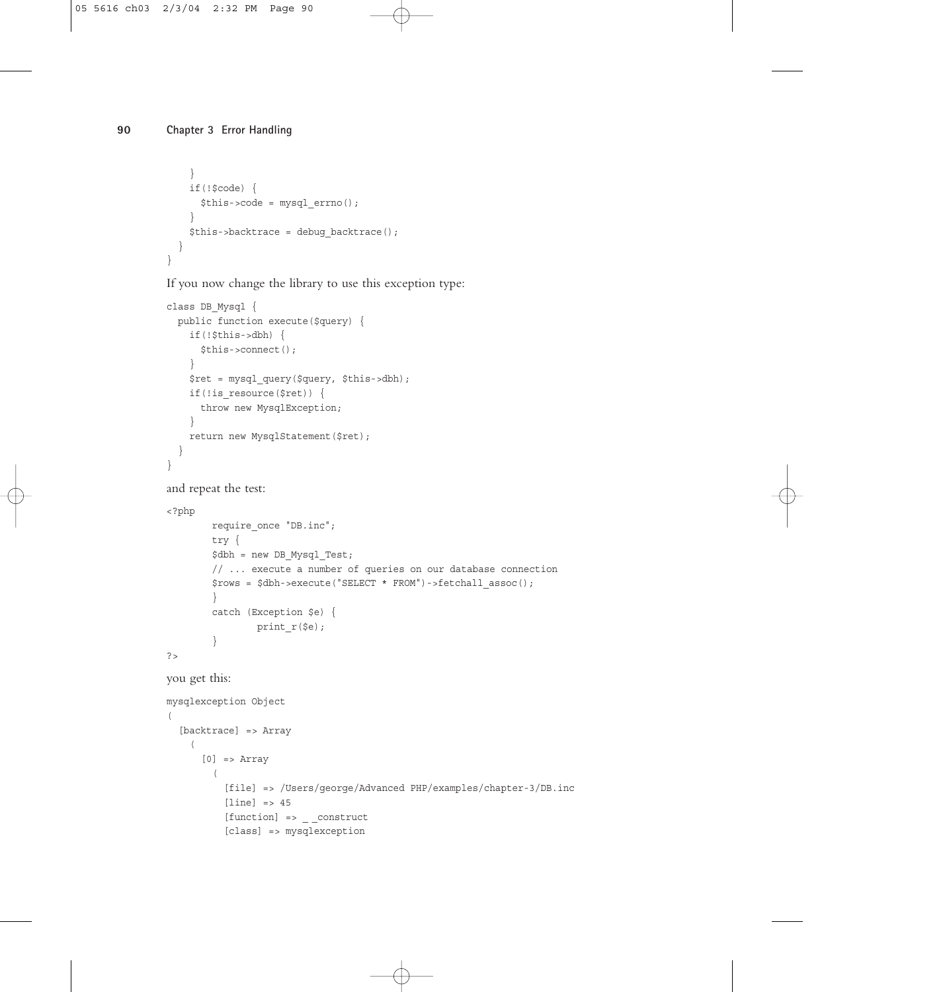```
}
   if(!$code) {
      $this->code = mysql_errno();
    }
    $this->backtrace = debug_backtrace();
  }
}
```
If you now change the library to use this exception type:

```
class DB_Mysql {
 public function execute($query) {
    if(!$this->dbh) {
      $this->connect();
    }
    $ret = mysql_query($query, $this->dbh);
    if(!is resource($ret)) {
      throw new MysqlException;
    }
    return new MysqlStatement($ret);
  }
}
and repeat the test:
<?php
        require_once "DB.inc";
        try {
        $dbh = new DB_Mysql_Test;
        // ... execute a number of queries on our database connection
        $rows = $dbh->execute("SELECT * FROM")->fetchall_assoc();
        }
        catch (Exception $e) {
               print r($e);
        }
?>
you get this:
mysqlexception Object
(
  [backtrace] => Array
    (
      [0] => Array
        (
          [file] => /Users/george/Advanced PHP/examples/chapter-3/DB.inc
          [line] => 45
          [function] => \_ construct
          [class] => mysqlexception
```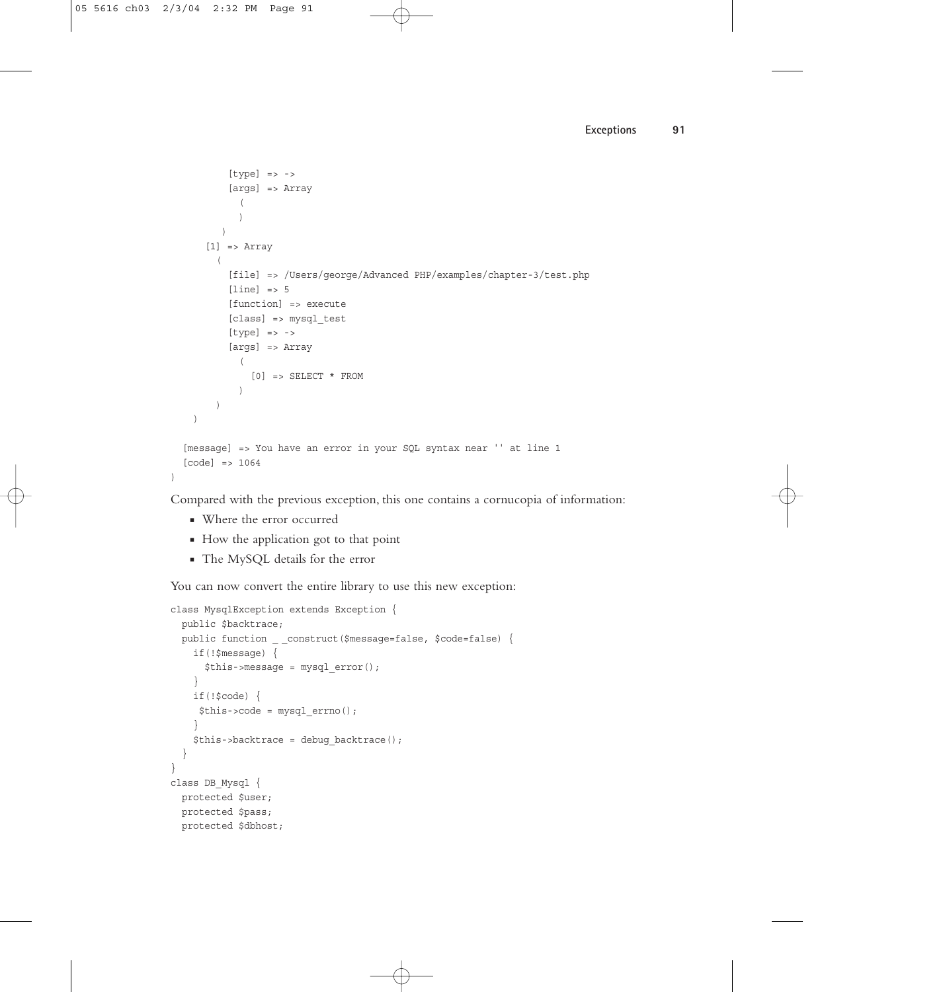```
[type] => ->
        [args] => Array
         \sqrt{ }\lambda)
    [1] => Array
     ([file] => /Users/george/Advanced PHP/examples/chapter-3/test.php
        [line] => 5
        [function] => execute
       [class] => mysql_test
        [type] => ->
        [args] => Array
         ([0] => SELECT * FROM
         )
     )
 )
[message] => You have an error in your SQL syntax near '' at line 1
[code] => 1064
```
Compared with the previous exception, this one contains a cornucopia of information:

n Where the error occurred

)

- n How the application got to that point
- $\blacksquare$  The MySQL details for the error

You can now convert the entire library to use this new exception:

```
class MysqlException extends Exception { 
  public $backtrace;
  public function _ _construct($message=false, $code=false) {
    if(!$message) {
      $this->message = mysql_error();
    }
    if(!$code) {
     $this->code = mysql_errno();
    }
    $this->backtrace = debug_backtrace();
  }
}
class DB_Mysql {
 protected $user;
 protected $pass;
 protected $dbhost;
```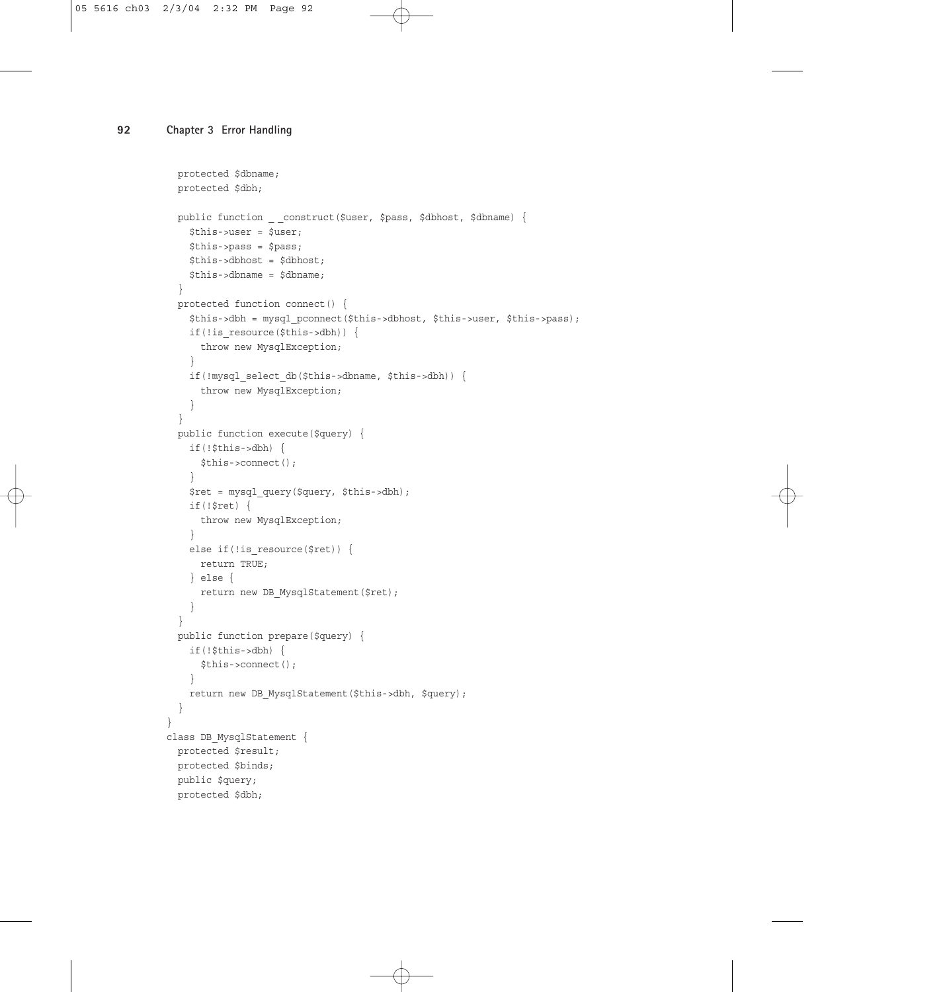```
protected $dbname;
 protected $dbh;
 public function construct($user, $pass, $dbhost, $dbname) {
    $this->user = $user;
   $this->pass = $pass;
    $this->dbhost = $dbhost;
    $this->dbname = $dbname;
  }
 protected function connect() {
    $this->dbh = mysql_pconnect($this->dbhost, $this->user, $this->pass);
    if(!is_resource($this->dbh)) {
      throw new MysqlException;
    }
    if(!mysql_select_db($this->dbname, $this->dbh)) {
     throw new MysqlException;
    }
  }
 public function execute($query) {
    if(!$this->dbh) {
     $this->connect();
    }
    $ret = mysql_query($query, $this->dbh); 
   if(!$ret) {
      throw new MysqlException;
    }
    else if(!is resource($ret)) {
     return TRUE;
    } else {
     return new DB_MysqlStatement($ret);
    }
  }
 public function prepare($query) {
   if(!$this->dbh) {
     $this->connect();
    }
   return new DB_MysqlStatement($this->dbh, $query);
  }
}
class DB_MysqlStatement {
 protected $result;
 protected $binds;
 public $query;
 protected $dbh;
```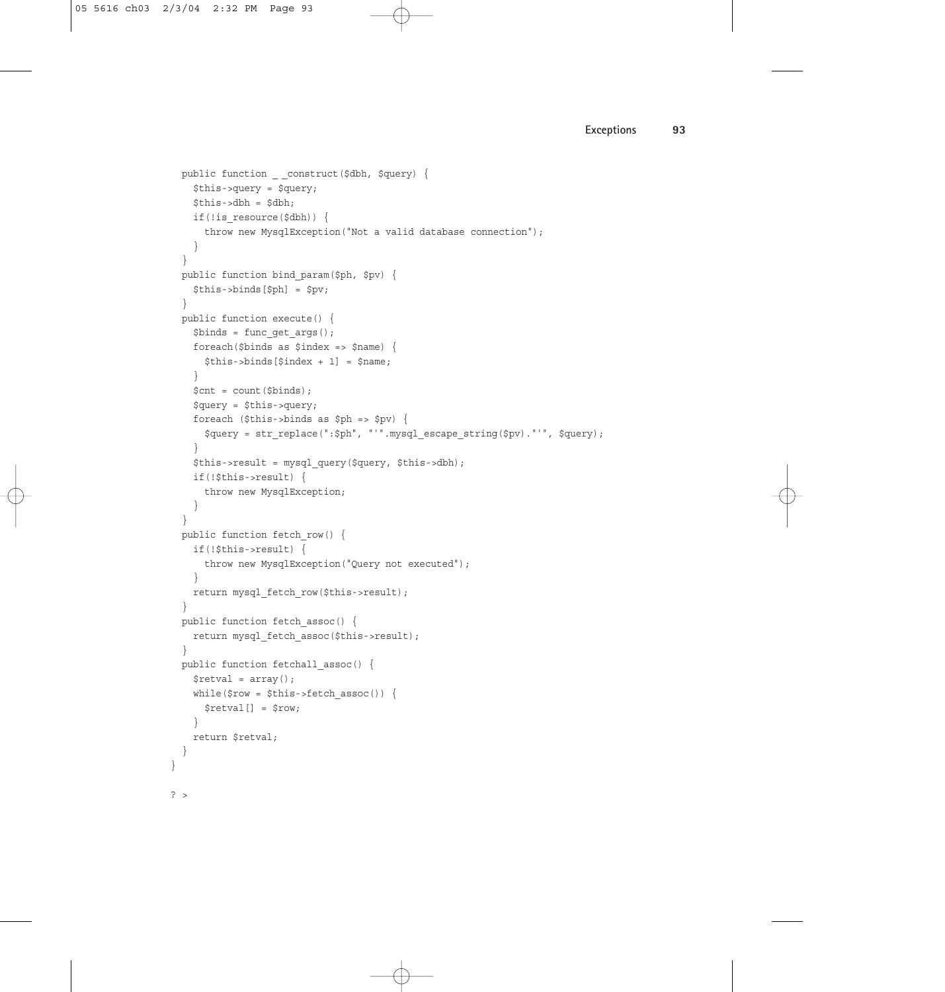```
public function construct($dbh, $query) {
    $this->query = $query;
   $this->dbh = $dbh;
   if(!is resource($dbh)) {
     throw new MysqlException("Not a valid database connection");
    }
  }
 public function bind_param($ph, $pv) {
   $this->binds[$ph] = $pv;
  }
 public function execute() {
   $binds = func get args();foreach($binds as $index => $name) {
     $this->binds[$index + 1] = $name;
    }
   $cnt = count($binds);
   $query = $this->query;
   foreach ($this->binds as $ph => $pv) {
     $query = str_replace(":$ph", "'".mysql_escape_string($pv)."'", $query);
    }
   $this->result = mysql_query($query, $this->dbh);
   if(!$this->result) {
     throw new MysqlException;
    }
  }
 public function fetch row() {
   if(!$this->result) {
     throw new MysqlException("Query not executed");
    }
   return mysql_fetch_row($this->result);
 }
 public function fetch assoc() {
   return mysql_fetch_assoc($this->result);
 }
 public function fetchall_assoc() {
   $retval = array();
   while($row = $this - $fetch assoc()) {
     $retval[] = $row;
   }
   return $retval;
 }
}
```

```
? >
```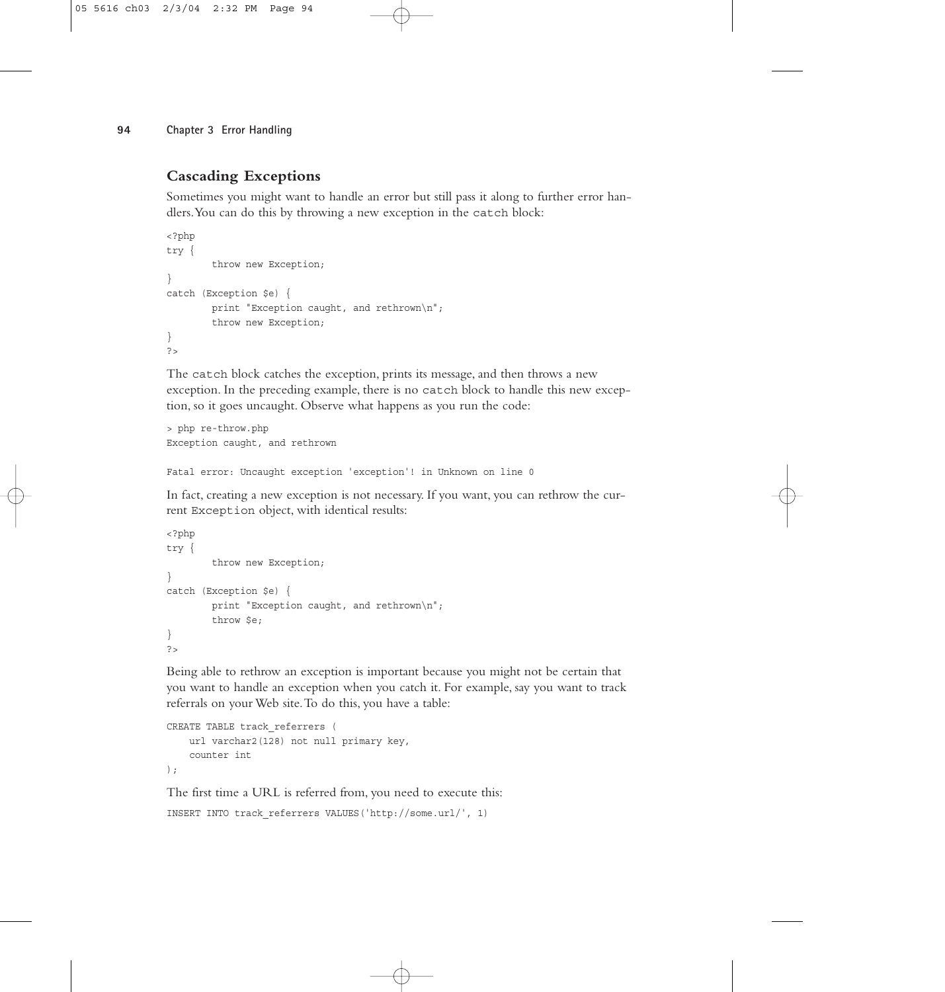## **Cascading Exceptions**

Sometimes you might want to handle an error but still pass it along to further error handlers.You can do this by throwing a new exception in the catch block:

```
<?php
try {
        throw new Exception;
}
catch (Exception $e) {
        print "Exception caught, and rethrown\n";
        throw new Exception;
}
?>
```
The catch block catches the exception, prints its message, and then throws a new exception. In the preceding example, there is no catch block to handle this new exception, so it goes uncaught. Observe what happens as you run the code:

```
> php re-throw.php
Exception caught, and rethrown
```
Fatal error: Uncaught exception *'*exception*'*! in Unknown on line 0

In fact, creating a new exception is not necessary. If you want, you can rethrow the current Exception object, with identical results:

```
<?php
try {
        throw new Exception;
}
catch (Exception $e) {
        print "Exception caught, and rethrown\n";
        throw $e;
}
?>
```
Being able to rethrow an exception is important because you might not be certain that you want to handle an exception when you catch it. For example, say you want to track referrals on your Web site.To do this, you have a table:

```
CREATE TABLE track_referrers (
   url varchar2(128) not null primary key,
    counter int
);
```
The first time a URL is referred from, you need to execute this:

INSERT INTO track\_referrers VALUES(*'*http://some.url/*'*, 1)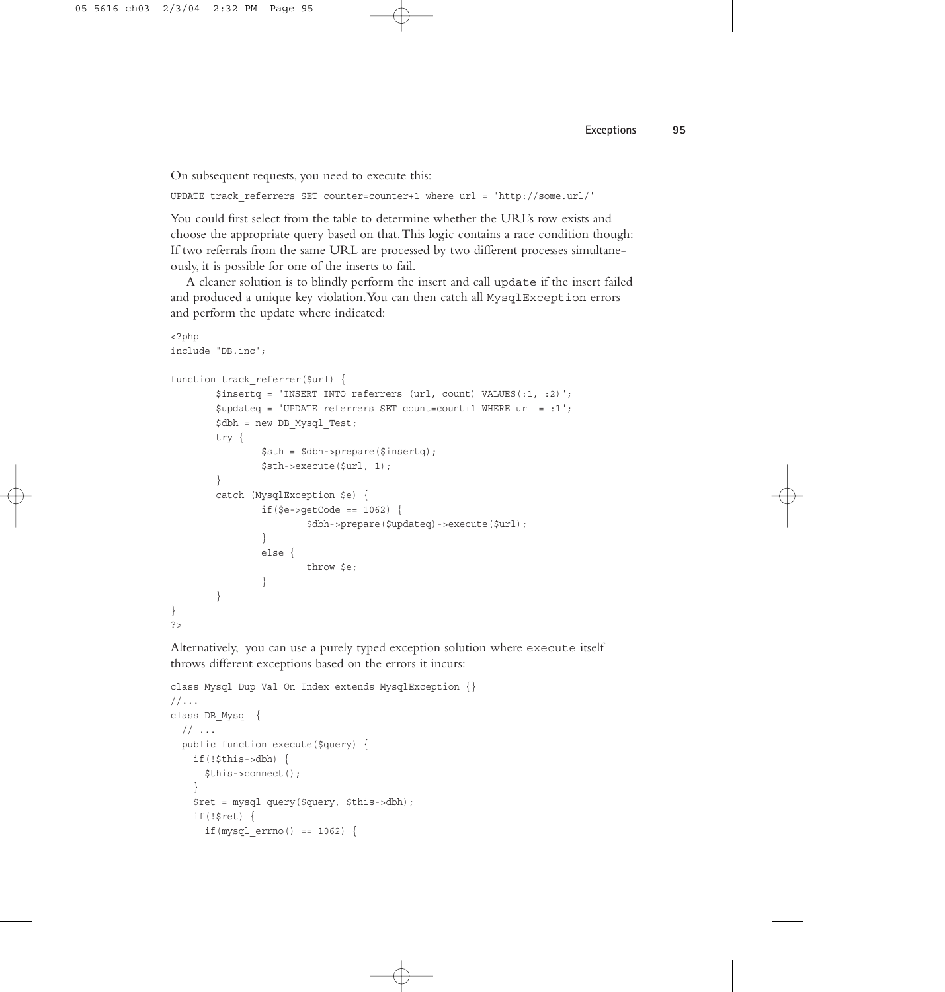On subsequent requests, you need to execute this:

UPDATE track\_referrers SET counter=counter+1 where url = *'*http://some.url/*'*

You could first select from the table to determine whether the URL's row exists and choose the appropriate query based on that.This logic contains a race condition though: If two referrals from the same URL are processed by two different processes simultaneously, it is possible for one of the inserts to fail.

A cleaner solution is to blindly perform the insert and call update if the insert failed and produced a unique key violation.You can then catch all MysqlException errors and perform the update where indicated:

```
<?php
include "DB.inc";
function track referrer($url) {
        $insertq = "INSERT INTO referrers (url, count) VALUES(:1, :2)";
        $updateq = "UPDATE referrers SET count=count+1 WHERE url = :1";
        $dbh = new DB Mysql Test;
        try {
                $sth = $dbh->prepare($insertq);
                $sth->execute($url, 1);
        }
        catch (MysqlException $e) {
                if($e->qetCode == 1062) {
                        $dbh->prepare($updateq)->execute($url);
                }
                else {
                        throw $e;
                 }
        }
}
?>
```
Alternatively, you can use a purely typed exception solution where execute itself throws different exceptions based on the errors it incurs:

```
class Mysql Dup Val On Index extends MysqlException {}
//\ldotsclass DB_Mysql {
  // \ldotspublic function execute($query) {
    if(!$this->dbh) {
      $this->connect();
    }
    $ret = mysql_query($query, $this->dbh); 
    if(!$ret) {
      if(mysql errno() == 1062) {
```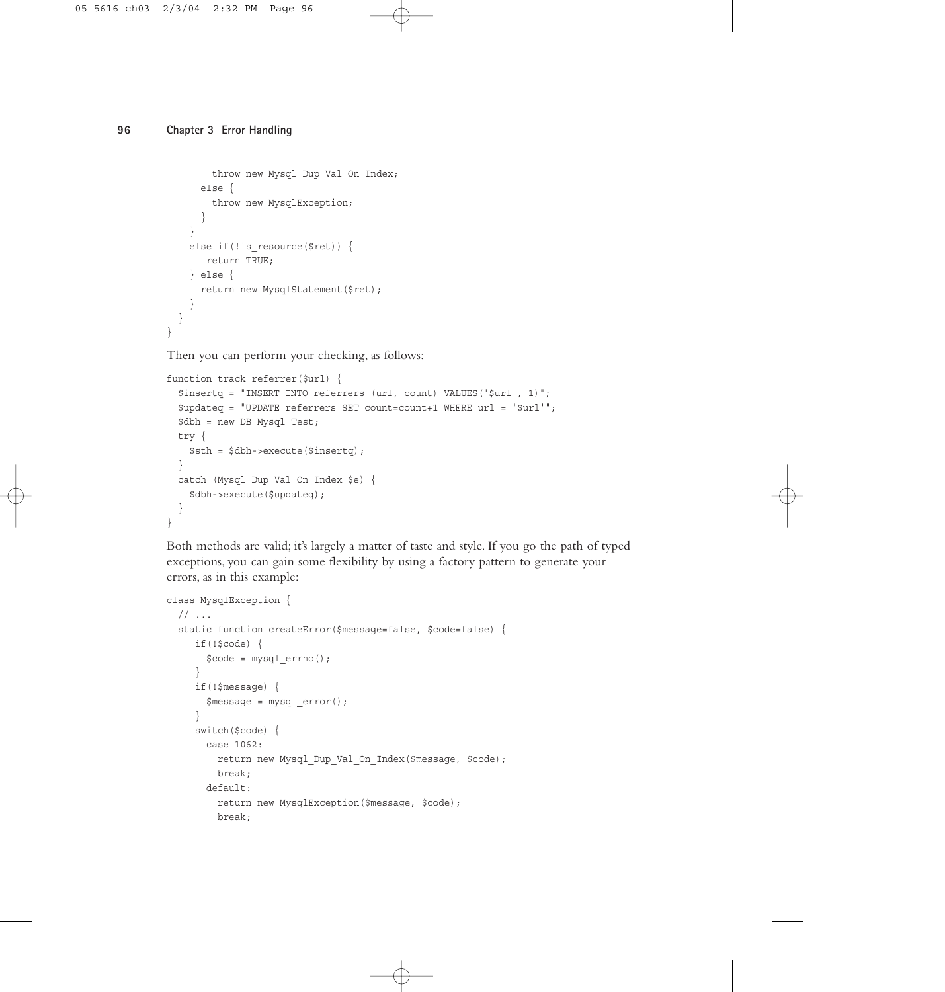```
throw new Mysql Dup Val On Index;
      else {
        throw new MysqlException;
      }
    }
   else if(!is resource($ret)) {
      return TRUE;
    } else {
     return new MysqlStatement($ret);
    }
 }
}
```
Then you can perform your checking, as follows:

```
function track referrer($url) {
 $insertq = "INSERT INTO referrers (url, count) VALUES('$url', 1)";
 $updateq = "UPDATE referrers SET count=count+1 WHERE url = '$url'";
 $dbh = new DB Mysql Test;
 try {
   $sth = $dbh->execute($insertq);
  }
 catch (Mysql_Dup_Val_On_Index $e) {
   $dbh->execute($updateq);
  }
}
```
Both methods are valid; it's largely a matter of taste and style. If you go the path of typed exceptions, you can gain some flexibility by using a factory pattern to generate your errors, as in this example:

```
class MysqlException { 
 // \ldotsstatic function createError($message=false, $code=false) {
     if(!$code) {
       $code = mysql_errno();
     }
     if(!$message) {
       $message = mysql_error();
     }
     switch($code) {
       case 1062:
         return new Mysql Dup Val On Index($message, $code);
        break;
       default:
         return new MysqlException($message, $code);
         break;
```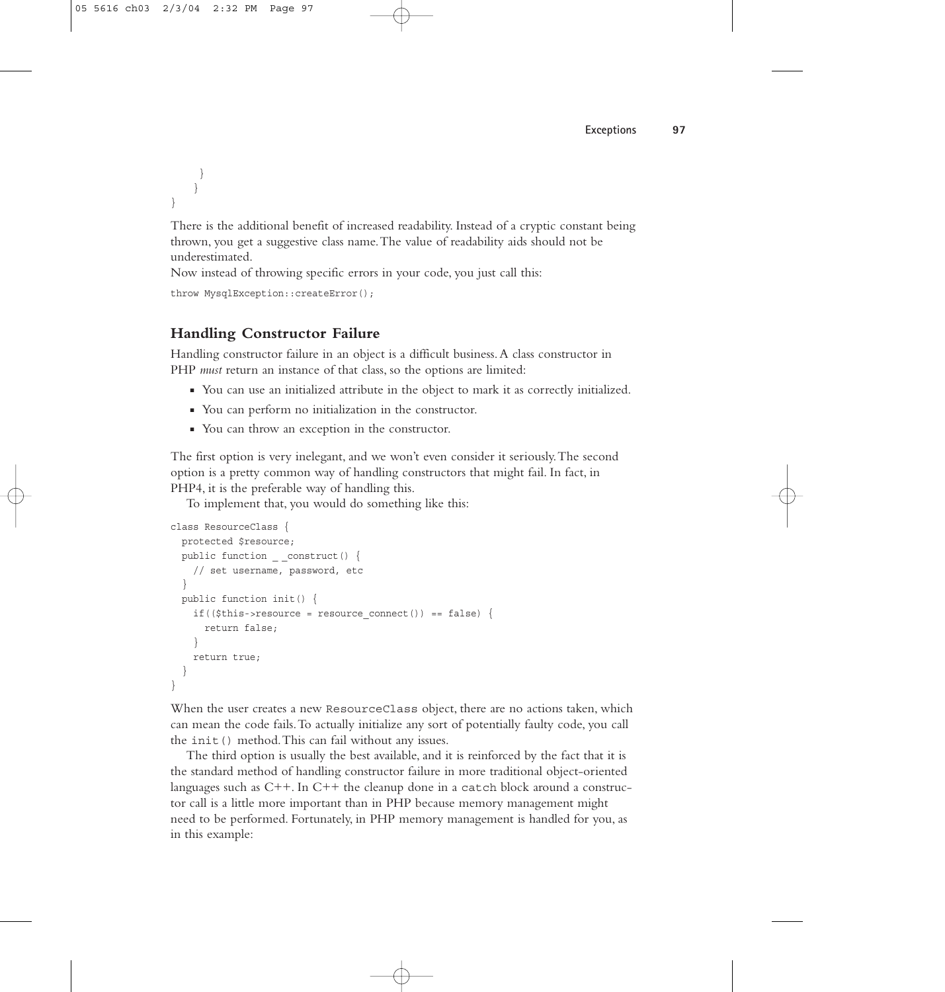```
}
      }
}
```
There is the additional benefit of increased readability. Instead of a cryptic constant being thrown, you get a suggestive class name.The value of readability aids should not be underestimated.

Now instead of throwing specific errors in your code, you just call this:

```
throw MysqlException::createError();
```
#### **Handling Constructor Failure**

Handling constructor failure in an object is a difficult business.A class constructor in PHP *must* return an instance of that class, so the options are limited:

- $\blacksquare$  You can use an initialized attribute in the object to mark it as correctly initialized.
- n You can perform no initialization in the constructor.
- n You can throw an exception in the constructor.

The first option is very inelegant, and we won't even consider it seriously.The second option is a pretty common way of handling constructors that might fail. In fact, in PHP4, it is the preferable way of handling this.

To implement that, you would do something like this:

```
class ResourceClass {
 protected $resource;
 public function construct() {
    // set username, password, etc
 }
 public function init() {
   if(($this->resource = resource connect()) == false) {
     return false;
    }
   return true;
 }
}
```
When the user creates a new ResourceClass object, there are no actions taken, which can mean the code fails.To actually initialize any sort of potentially faulty code, you call the init() method.This can fail without any issues.

The third option is usually the best available, and it is reinforced by the fact that it is the standard method of handling constructor failure in more traditional object-oriented languages such as  $C++$ . In  $C++$  the cleanup done in a catch block around a constructor call is a little more important than in PHP because memory management might need to be performed. Fortunately, in PHP memory management is handled for you, as in this example: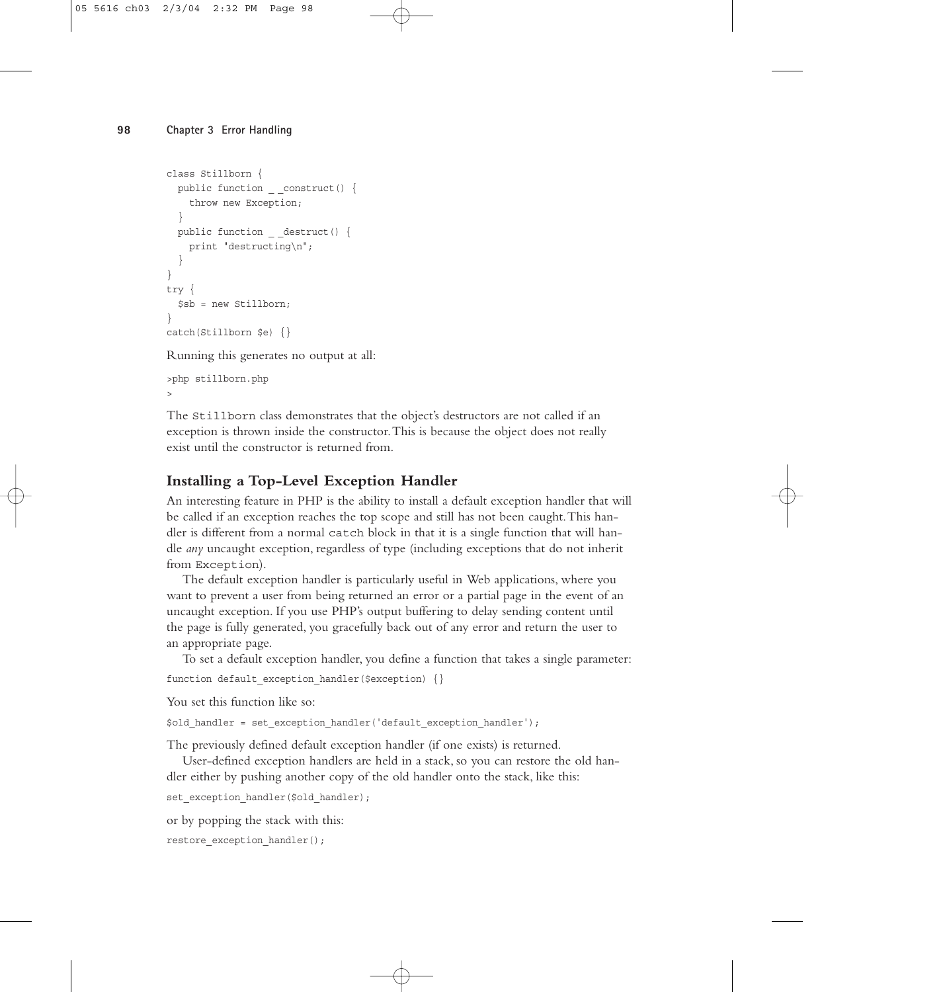```
class Stillborn {
  public function _ _construct() {
    throw new Exception;
  }
  public function \text{destruct}() {
    print "destructing\n";
  }
}
try {
  $sb = new Stillborn;
}
catch(Stillborn $e) {}
```
Running this generates no output at all:

>php stillborn.php >

The Stillborn class demonstrates that the object's destructors are not called if an exception is thrown inside the constructor.This is because the object does not really exist until the constructor is returned from.

## **Installing a Top-Level Exception Handler**

An interesting feature in PHP is the ability to install a default exception handler that will be called if an exception reaches the top scope and still has not been caught.This handler is different from a normal catch block in that it is a single function that will handle *any* uncaught exception, regardless of type (including exceptions that do not inherit from Exception).

The default exception handler is particularly useful in Web applications, where you want to prevent a user from being returned an error or a partial page in the event of an uncaught exception. If you use PHP's output buffering to delay sending content until the page is fully generated, you gracefully back out of any error and return the user to an appropriate page.

To set a default exception handler, you define a function that takes a single parameter:

function default\_exception\_handler(\$exception) {}

You set this function like so:

```
$old_handler = set_exception_handler('default_exception_handler');
```
The previously defined default exception handler (if one exists) is returned.

User-defined exception handlers are held in a stack, so you can restore the old handler either by pushing another copy of the old handler onto the stack, like this:

```
set exception handler($old handler);
```
or by popping the stack with this:

```
restore_exception_handler();
```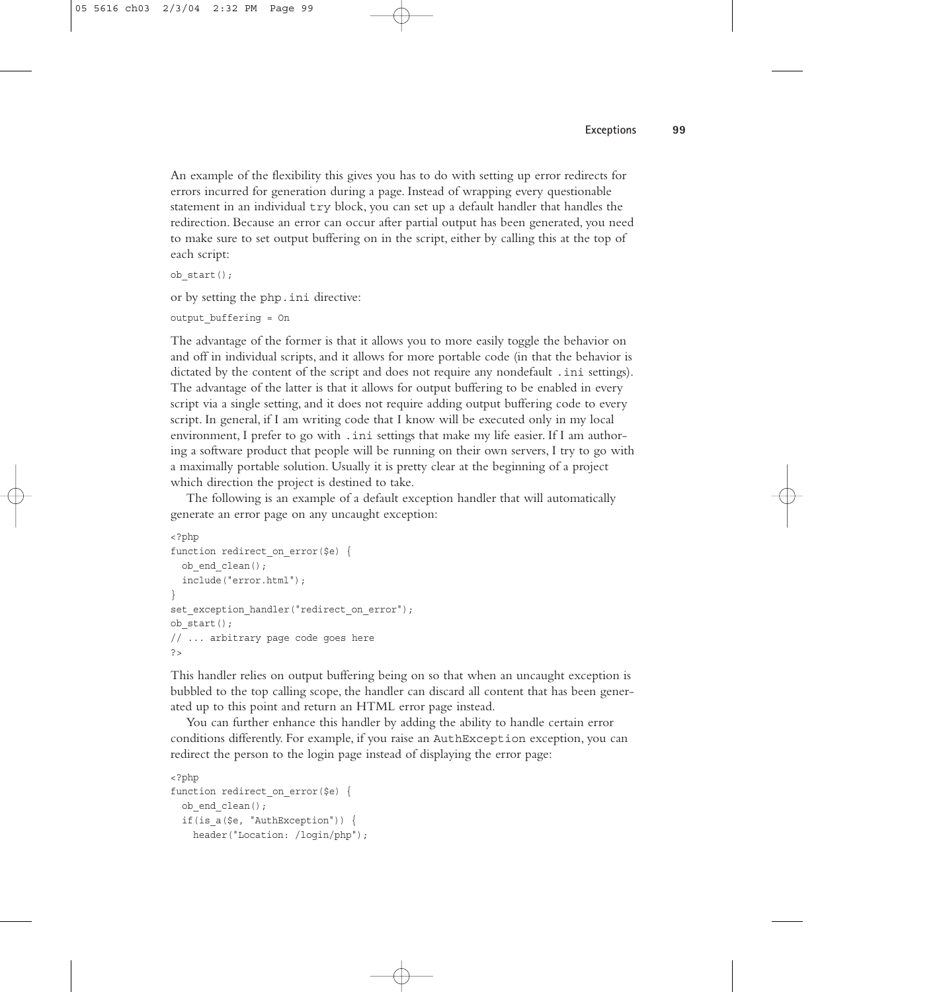An example of the flexibility this gives you has to do with setting up error redirects for errors incurred for generation during a page. Instead of wrapping every questionable statement in an individual try block, you can set up a default handler that handles the redirection. Because an error can occur after partial output has been generated, you need to make sure to set output buffering on in the script, either by calling this at the top of each script:

```
ob_start();
or by setting the php.ini directive:
output_buffering = On
```
The advantage of the former is that it allows you to more easily toggle the behavior on and off in individual scripts, and it allows for more portable code (in that the behavior is dictated by the content of the script and does not require any nondefault .ini settings). The advantage of the latter is that it allows for output buffering to be enabled in every script via a single setting, and it does not require adding output buffering code to every script. In general, if I am writing code that I know will be executed only in my local environment, I prefer to go with .ini settings that make my life easier. If I am authoring a software product that people will be running on their own servers, I try to go with a maximally portable solution. Usually it is pretty clear at the beginning of a project which direction the project is destined to take.

The following is an example of a default exception handler that will automatically generate an error page on any uncaught exception:

```
<?php
function redirect on error($e) {
 ob_end_clean();
 include("error.html");
}
set exception handler("redirect on error");
ob_start();
// ... arbitrary page code goes here
?>
```
This handler relies on output buffering being on so that when an uncaught exception is bubbled to the top calling scope, the handler can discard all content that has been generated up to this point and return an HTML error page instead.

You can further enhance this handler by adding the ability to handle certain error conditions differently. For example, if you raise an AuthException exception, you can redirect the person to the login page instead of displaying the error page:

```
<?php
function redirect on error($e) {
 ob_end_clean();
 if(is_a($e, "AuthException")) {
   header("Location: /login/php");
```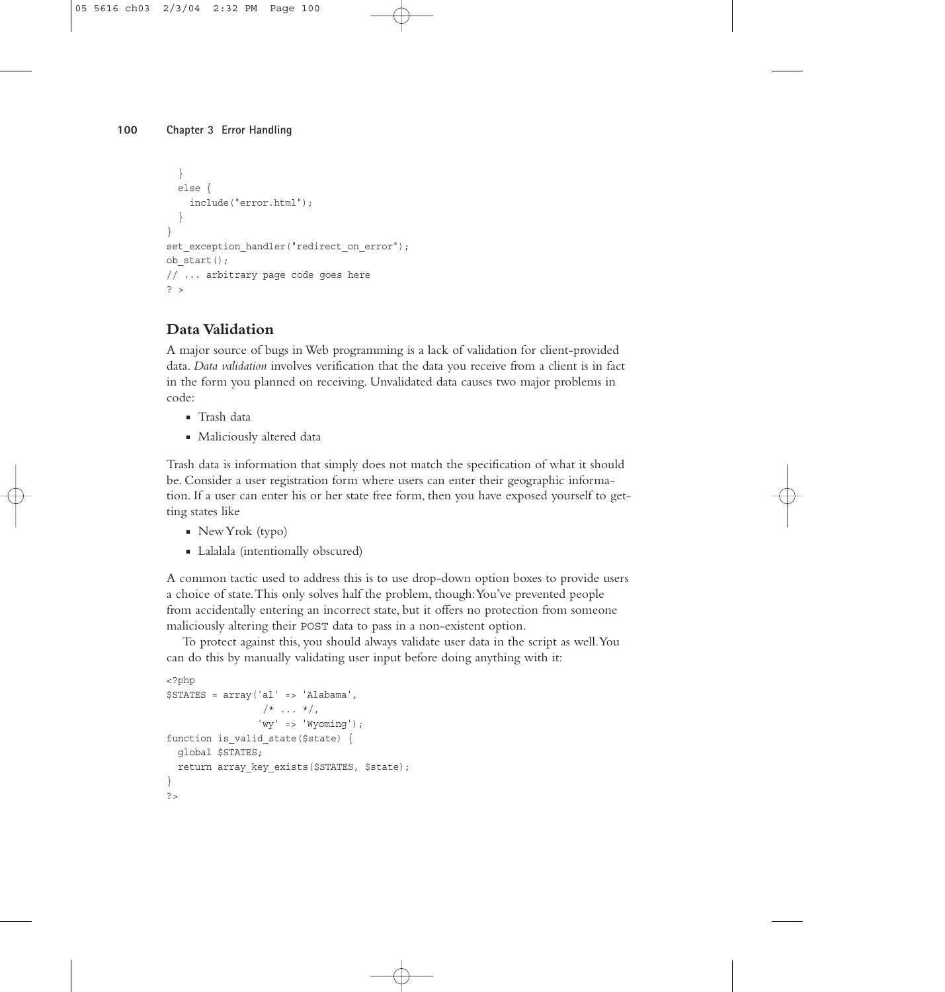```
}
  else {
    include("error.html");
  }
}
set exception handler("redirect on error");
ob_start();
// ... arbitrary page code goes here
? >
```
## **Data Validation**

A major source of bugs in Web programming is a lack of validation for client-provided data. *Data validation* involves verification that the data you receive from a client is in fact in the form you planned on receiving. Unvalidated data causes two major problems in code:

- $\blacksquare$  Trash data
- $\blacksquare$  Maliciously altered data

Trash data is information that simply does not match the specification of what it should be. Consider a user registration form where users can enter their geographic information. If a user can enter his or her state free form, then you have exposed yourself to getting states like

- n New Yrok (typo)
- n Lalalala (intentionally obscured)

A common tactic used to address this is to use drop-down option boxes to provide users a choice of state.This only solves half the problem, though:You've prevented people from accidentally entering an incorrect state, but it offers no protection from someone maliciously altering their POST data to pass in a non-existent option.

To protect against this, you should always validate user data in the script as well.You can do this by manually validating user input before doing anything with it:

```
<?php
$STATES = array('al' => 'Alabama',
                 /* \ldots */'wy' => 'Wyoming');
function is_valid_state($state) {
 global $STATES;
 return array key exists($STATES, $state);
}
?>
```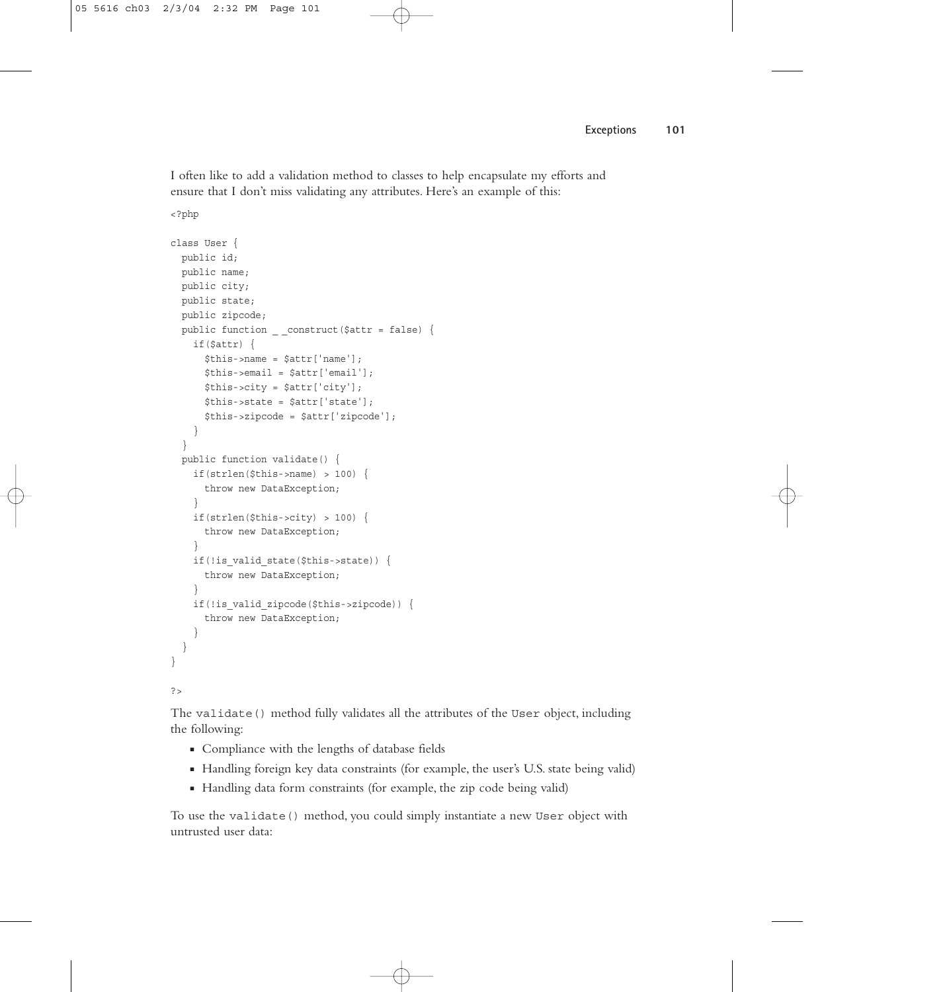I often like to add a validation method to classes to help encapsulate my efforts and ensure that I don't miss validating any attributes. Here's an example of this:

```
<?php
class User {
  public id;
  public name;
  public city;
  public state;
  public zipcode;
  public function construct(\xiattr = false) {
    if($attr) {
      $this->name = $attr['name'];
      $this->email = $attr['email'];
     $this->city = $attr['city'];
     $this->state = $attr['state'];
      $this->zipcode = $attr['zipcode'];
    }
  }
  public function validate() {
    if(strlen($this->name) > 100) {
      throw new DataException;
    }
    if(strlen($this->city) > 100) {
      throw new DataException;
    }
    if(!is valid state($this->state)) {
      throw new DataException;
    }
    if(!is_valid_zipcode($this->zipcode)) {
      throw new DataException;
    }
  }
}
?>
```
The validate() method fully validates all the attributes of the User object, including the following:

- **Compliance with the lengths of database fields**
- n Handling foreign key data constraints (for example, the user's U.S. state being valid)
- n Handling data form constraints (for example, the zip code being valid)

To use the validate() method, you could simply instantiate a new User object with untrusted user data: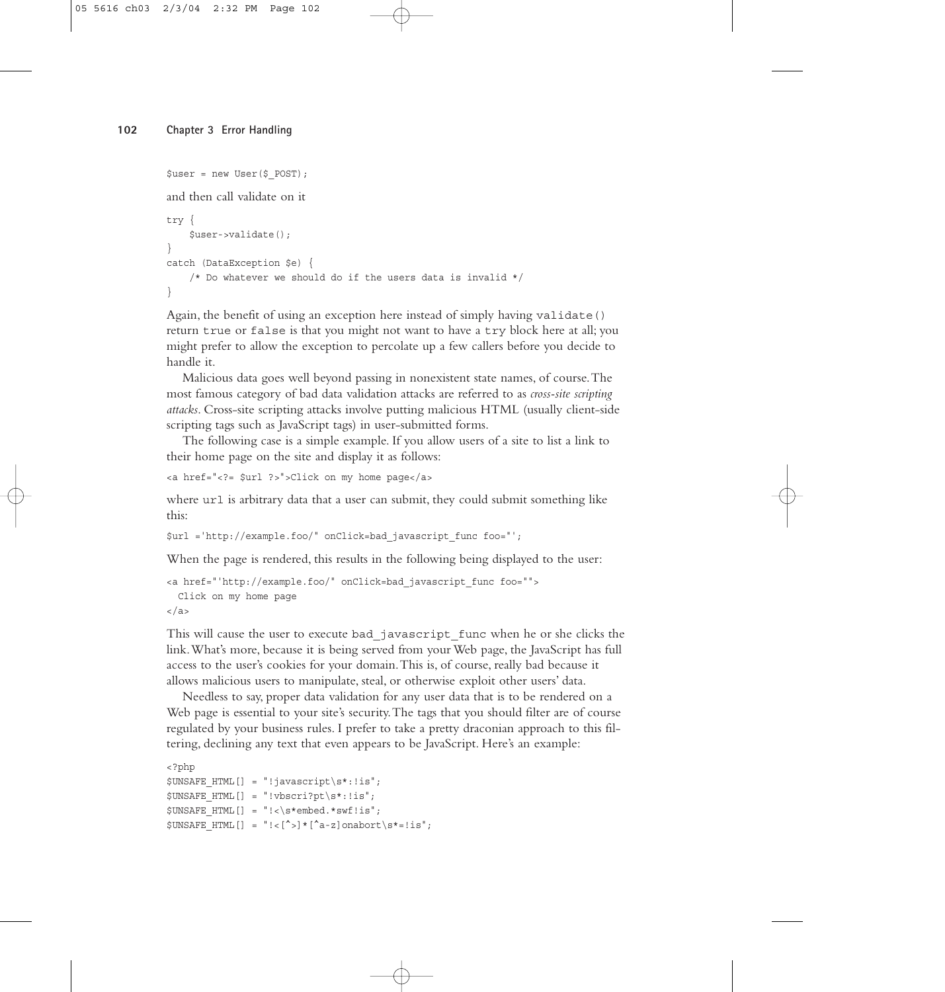```
$user = new User($_POST);
and then call validate on it
try {
    $user->validate();
}
catch (DataException $e) {
    /* Do whatever we should do if the users data is invalid */}
```
Again, the benefit of using an exception here instead of simply having validate() return true or false is that you might not want to have a try block here at all; you might prefer to allow the exception to percolate up a few callers before you decide to handle it.

Malicious data goes well beyond passing in nonexistent state names, of course.The most famous category of bad data validation attacks are referred to as *cross-site scripting attacks*. Cross-site scripting attacks involve putting malicious HTML (usually client-side scripting tags such as JavaScript tags) in user-submitted forms.

The following case is a simple example. If you allow users of a site to list a link to their home page on the site and display it as follows:

```
<a href="<?= $url ?>">Click on my home page</a>
```
where  $url$  is arbitrary data that a user can submit, they could submit something like this:

```
$url ='http://example.foo/" onClick=bad_javascript_func foo="';
```
When the page is rendered, this results in the following being displayed to the user:

```
<a href="'http://example.foo/" onClick=bad_javascript_func foo="">
 Click on my home page
</a>
```
This will cause the user to execute bad\_javascript\_func when he or she clicks the link.What's more, because it is being served from your Web page, the JavaScript has full access to the user's cookies for your domain.This is, of course, really bad because it allows malicious users to manipulate, steal, or otherwise exploit other users' data.

Needless to say, proper data validation for any user data that is to be rendered on a Web page is essential to your site's security.The tags that you should filter are of course regulated by your business rules. I prefer to take a pretty draconian approach to this filtering, declining any text that even appears to be JavaScript. Here's an example:

```
<?php
$UNSAFE_HTML[] = "!javascript\s*:!is";
$UNSAFE_HTML[] = "!vbscri?pt\s*:!is";
$UNSAFE_HTML[] = "!<\s*embed.*swf!is";
$UNSAFE_HTML[] = "!<[^>]*[^a-z]onabort\s*=!is";
```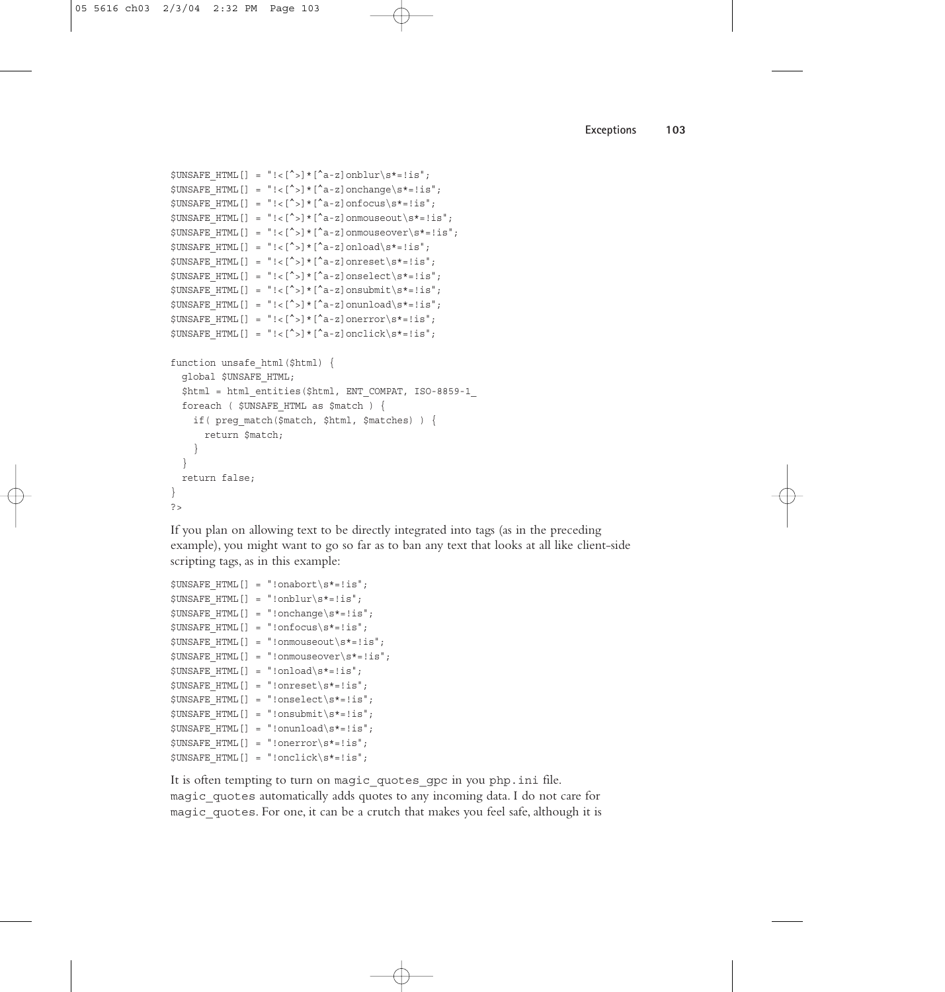```
$UNSAFE HTML[] = "\cdot[^>]*[^a-z]onblur\s*=!is";
$UNSAFE_HTML[] = "!<[^>]*[^a-z]onchange\s*=!is";
$UNSAFE HTML[] = "!<[^{^{\wedge}$>]}*[^{^{\wedge}}a-z]onfocus\s *=!i s;
$UNSAFE_HTML[] = "!<[^>]*[^a-z]onmouseout\s*=!is";
$UNSAFE_HTML[] = "!<[^>]*[^a-z]onmouseover\s*=!is";
$UNSAFE HTML[] = "!<[^{^{\prime}}>] * [^{\prime}a-z]onload\s*=!is";
$UNSAFE_HTML[] = "!<[^>]*[^a-z]onreset\s*=!is";
$UNSAFE_HTML[] = "!<[^>]*[^a-z]onselect\s*=!is";
$UNSAFE_HTML[] = "!<[^>]*[^a-z]onsubmit\s*=!is";
$UNSAFE HTML[] = "\left[ \binom{n}{2} * [\binom{n}{2} \text{binuload} \s = \text{list} \right];$UNSAFE HTML[] = "\cdot<[^>]*[^a-z]onerror\s*=!is";
$UNSAFE HTML[] = "!<[^{^}>]\ *[^{^}a-z]onclick\s*=!is";
function unsafe_html($html) {
  global $UNSAFE_HTML;
  $html = html entities($html, ENT COMPAT, ISO-8859-1
  foreach ( $UNSAFE_HTML as $match ) {
    if( preg_match($match, $html, $matches) ) {
      return $match;
    }
  }
  return false;
}
?>
```
If you plan on allowing text to be directly integrated into tags (as in the preceding example), you might want to go so far as to ban any text that looks at all like client-side scripting tags, as in this example:

```
$UNSAFE_HTML[] = "!onabort\s*=!is";
$UNSAFE_HTML[] = "!onblur\s*=!is";
$UNSAFE_HTML[] = "!onchange\s*=!is";
$UNSAFE_HTML[] = "!onfocus\s*=!is";
$UNSAFE_HTML[] = "!onmouseout\s*=!is";
$UNSAFE_HTML[] = "!onmouseover\s*=!is";
$UNSAFE_HTML[] = "!onload\s*=!is";
$UNSAFE_HTML[] = "!onreset\s*=!is";
$UNSAFE_HTML[] = "!onselect\s*=!is";
$UNSAFE_HTML[] = "!onsubmit\s*=!is";
$UNSAFE_HTML[] = "!onunload\s*=!is";
$UNSAFE_HTML[] = "!onerror\s*=!is";
$UNSAFE_HTML[] = "!onclick\s*=!is";
```
It is often tempting to turn on magic quotes gpc in you php.ini file. magic\_quotes automatically adds quotes to any incoming data. I do not care for magic quotes. For one, it can be a crutch that makes you feel safe, although it is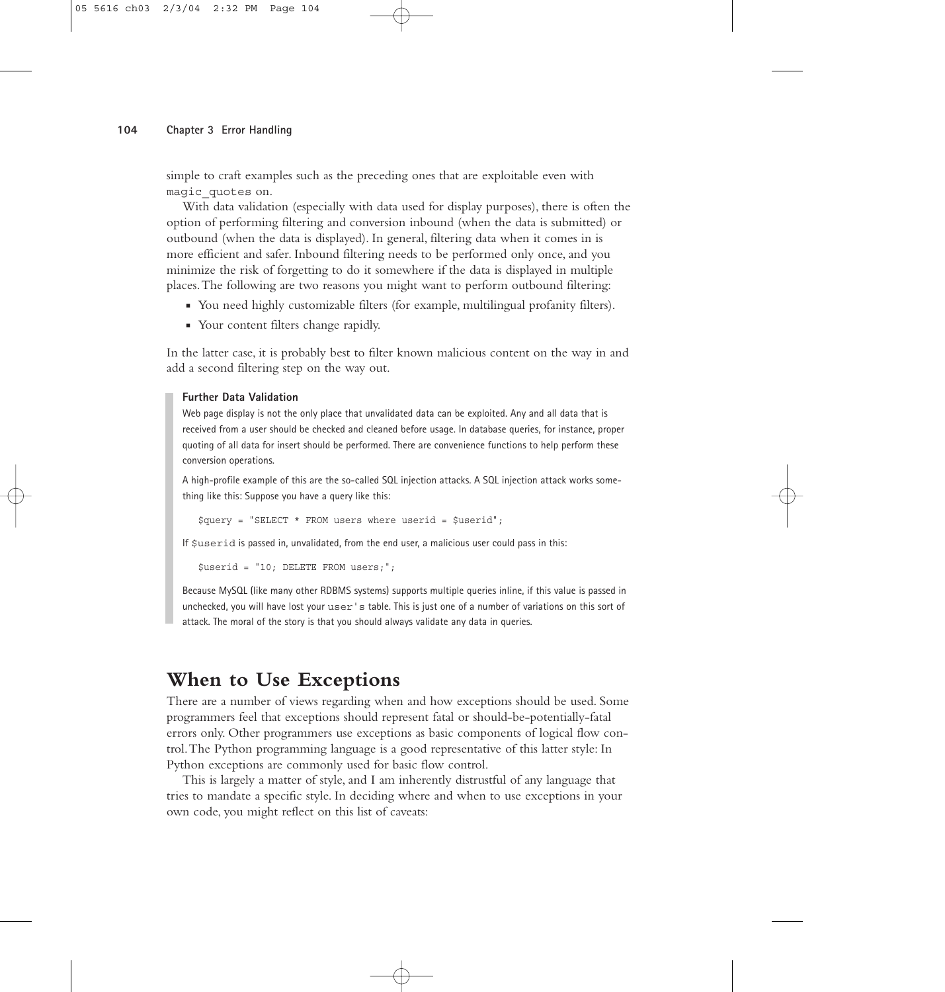simple to craft examples such as the preceding ones that are exploitable even with magic\_quotes on.

With data validation (especially with data used for display purposes), there is often the option of performing filtering and conversion inbound (when the data is submitted) or outbound (when the data is displayed). In general, filtering data when it comes in is more efficient and safer. Inbound filtering needs to be performed only once, and you minimize the risk of forgetting to do it somewhere if the data is displayed in multiple places.The following are two reasons you might want to perform outbound filtering:

- n You need highly customizable filters (for example, multilingual profanity filters).
- **Nour content filters change rapidly.**

In the latter case, it is probably best to filter known malicious content on the way in and add a second filtering step on the way out.

#### **Further Data Validation**

Web page display is not the only place that unvalidated data can be exploited. Any and all data that is received from a user should be checked and cleaned before usage. In database queries, for instance, proper quoting of all data for insert should be performed. There are convenience functions to help perform these conversion operations.

A high-profile example of this are the so-called SQL injection attacks. A SQL injection attack works something like this: Suppose you have a query like this:

\$query = *"*SELECT \* FROM users where userid = \$userid*"*;

If \$userid is passed in, unvalidated, from the end user, a malicious user could pass in this:

```
$userid = "10; DELETE FROM users;";
```
Because MySQL (like many other RDBMS systems) supports multiple queries inline, if this value is passed in unchecked, you will have lost your user*'*s table. This is just one of a number of variations on this sort of attack. The moral of the story is that you should always validate any data in queries.

## **When to Use Exceptions**

There are a number of views regarding when and how exceptions should be used. Some programmers feel that exceptions should represent fatal or should-be-potentially-fatal errors only. Other programmers use exceptions as basic components of logical flow control.The Python programming language is a good representative of this latter style: In Python exceptions are commonly used for basic flow control.

This is largely a matter of style, and I am inherently distrustful of any language that tries to mandate a specific style. In deciding where and when to use exceptions in your own code, you might reflect on this list of caveats: